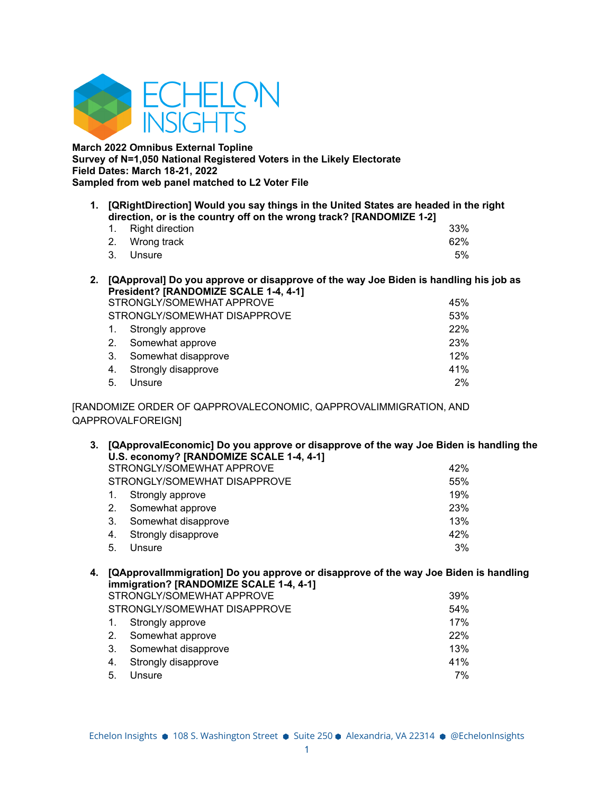

**March 2022 Omnibus External Topline Survey of N=1,050 National Registered Voters in the Likely Electorate Field Dates: March 18-21, 2022 Sampled from web panel matched to L2 Voter File**

**1. [QRightDirection] Would you say things in the United States are headed in the right direction, or is the country off on the wrong track? [RANDOMIZE 1-2]**

| 1. Right direction |  |  | 33% |
|--------------------|--|--|-----|
| 2. Wrong track     |  |  | 62% |
| 3. Unsure          |  |  | 5%  |

**2. [QApproval] Do you approve or disapprove of the way Joe Biden is handling his job as President? [RANDOMIZE SCALE 1-4, 4-1]**

|    | STRONGLY/SOMEWHAT APPROVE    |       |  |
|----|------------------------------|-------|--|
|    | STRONGLY/SOMEWHAT DISAPPROVE | 53%   |  |
|    | 1. Strongly approve          | 22%   |  |
| 2. | Somewhat approve             | 23%   |  |
| 3. | Somewhat disapprove          | 12%   |  |
| 4. | Strongly disapprove          | 41%   |  |
| 5. | Unsure                       | $2\%$ |  |

[RANDOMIZE ORDER OF QAPPROVALECONOMIC, QAPPROVALIMMIGRATION, AND QAPPROVALFOREIGN]

**3. [QApprovalEconomic] Do you approve or disapprove of the way Joe Biden is handling the U.S. economy? [RANDOMIZE SCALE 1-4, 4-1]** STRONGLY/SOMEWHAT APPROVE **1999** 42%

| STRONGLY/SOMEWHAT DISAPPROVE | 55%        |
|------------------------------|------------|
| 1. Strongly approve          | 19%        |
| 2. Somewhat approve          | <b>23%</b> |
| 3. Somewhat disapprove       | 13%        |
| 4. Strongly disapprove       | 42%        |
| 5. Unsure                    | 3%         |

### **4. [QApprovalImmigration] Do you approve or disapprove of the way Joe Biden is handling immigration? [RANDOMIZE SCALE 1-4, 4-1]**

|    | STRONGLY/SOMEWHAT APPROVE    | 39% |
|----|------------------------------|-----|
|    | STRONGLY/SOMEWHAT DISAPPROVE | 54% |
|    | 1. Strongly approve          | 17% |
| 2. | Somewhat approve             | 22% |
| 3. | Somewhat disapprove          | 13% |
| 4. | Strongly disapprove          | 41% |
| 5. | Unsure                       | 7%  |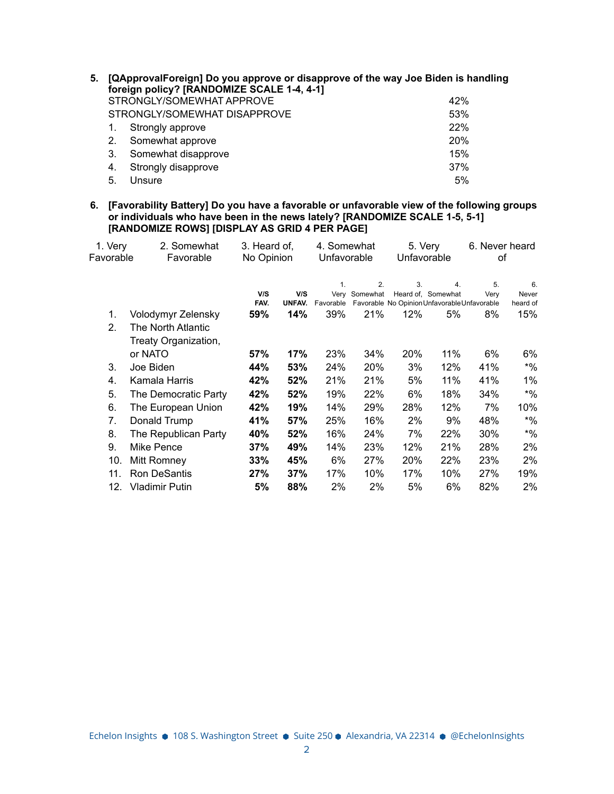| 5. |    | [QApprovalForeign] Do you approve or disapprove of the way Joe Biden is handling<br>foreign policy? [RANDOMIZE SCALE 1-4, 4-1] |     |
|----|----|--------------------------------------------------------------------------------------------------------------------------------|-----|
|    |    | STRONGLY/SOMEWHAT APPROVE                                                                                                      | 42% |
|    |    | STRONGLY/SOMEWHAT DISAPPROVE                                                                                                   | 53% |
|    |    | Strongly approve                                                                                                               | 22% |
|    | 2. | Somewhat approve                                                                                                               | 20% |
|    | 3. | Somewhat disapprove                                                                                                            | 15% |
|    | 4. | Strongly disapprove                                                                                                            | 37% |
|    | 5. | Unsure                                                                                                                         | 5%  |
|    |    |                                                                                                                                |     |

**6. [Favorability Battery] Do you have a favorable or unfavorable view of the following groups or individuals who have been in the news lately? [RANDOMIZE SCALE 1-5, 5-1] [RANDOMIZE ROWS] [DISPLAY AS GRID 4 PER PAGE]**

| 1. Very   | 2. Somewhat<br>3. Heard of, |            | 4. Somewhat |             | 5. Very       |             | 6. Never heard                               |      |          |
|-----------|-----------------------------|------------|-------------|-------------|---------------|-------------|----------------------------------------------|------|----------|
| Favorable | Favorable                   | No Opinion |             | Unfavorable |               | Unfavorable |                                              | οf   |          |
|           |                             |            |             |             |               |             |                                              |      |          |
|           |                             |            |             | 1.          | 2.            | 3.          | 4.                                           | 5.   | 6.       |
|           |                             | V/S        | V/S         |             | Very Somewhat |             | Heard of, Somewhat                           | Very | Never    |
|           |                             | FAV.       | UNFAV.      | Favorable   |               |             | Favorable No Opinion Unfavorable Unfavorable |      | heard of |
| 1.        | Volodymyr Zelensky          | 59%        | 14%         | 39%         | 21%           | 12%         | 5%                                           | 8%   | 15%      |
| 2.        | The North Atlantic          |            |             |             |               |             |                                              |      |          |
|           | Treaty Organization,        |            |             |             |               |             |                                              |      |          |
|           | or NATO                     | 57%        | 17%         | 23%         | 34%           | 20%         | 11%                                          | 6%   | 6%       |
| 3.        | Joe Biden                   | 44%        | 53%         | 24%         | 20%           | 3%          | 12%                                          | 41%  | $*9/6$   |
| 4.        | Kamala Harris               | 42%        | 52%         | 21%         | 21%           | 5%          | 11%                                          | 41%  | 1%       |
| 5.        | The Democratic Party        | 42%        | 52%         | 19%         | 22%           | 6%          | 18%                                          | 34%  | $*9/6$   |
| 6.        | The European Union          | 42%        | 19%         | 14%         | 29%           | 28%         | 12%                                          | 7%   | 10%      |
| 7.        | Donald Trump                | 41%        | 57%         | 25%         | 16%           | 2%          | 9%                                           | 48%  | $*9/6$   |
| 8.        | The Republican Party        | 40%        | 52%         | 16%         | 24%           | 7%          | 22%                                          | 30%  | $*9/6$   |
| 9.        | Mike Pence                  | 37%        | 49%         | 14%         | 23%           | 12%         | 21%                                          | 28%  | 2%       |
| 10.       | Mitt Romney                 | 33%        | 45%         | 6%          | 27%           | 20%         | 22%                                          | 23%  | 2%       |
| 11.       | <b>Ron DeSantis</b>         | 27%        | 37%         | 17%         | 10%           | 17%         | 10%                                          | 27%  | 19%      |
| 12.       | <b>Vladimir Putin</b>       | 5%         | 88%         | 2%          | 2%            | 5%          | 6%                                           | 82%  | 2%       |

Echelon Insights ● 108 S. Washington Street ● Suite 250 ● Alexandria, VA 22314 ● @EchelonInsights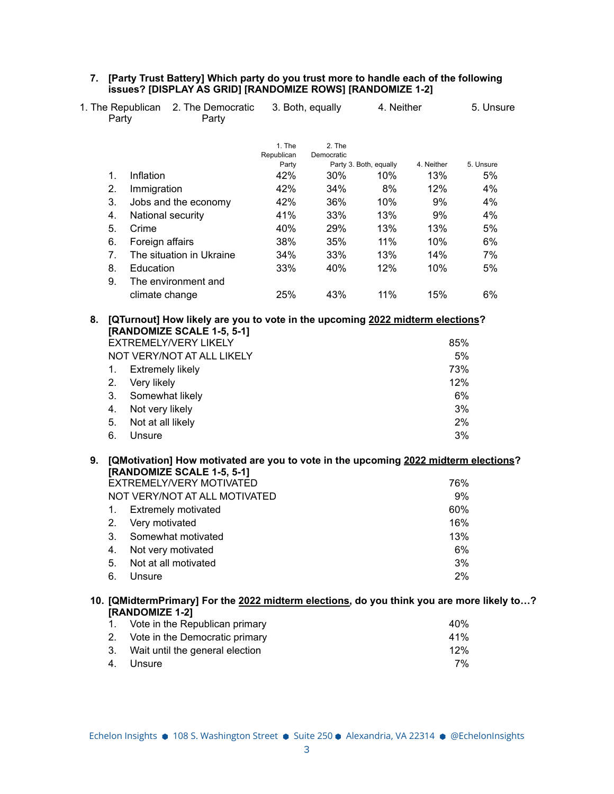| 7. [Party Trust Battery] Which party do you trust more to handle each of the following |
|----------------------------------------------------------------------------------------|
| issues? [DISPLAY AS GRID] [RANDOMIZE ROWS] [RANDOMIZE 1-2]                             |

|    | Party                   | 1. The Republican 2. The Democratic<br>Party                                                                                                |                     | 3. Both, equally | 4. Neither             |            | 5. Unsure |
|----|-------------------------|---------------------------------------------------------------------------------------------------------------------------------------------|---------------------|------------------|------------------------|------------|-----------|
|    |                         |                                                                                                                                             | 1. The              | 2. The           |                        |            |           |
|    |                         |                                                                                                                                             | Republican<br>Party | Democratic       | Party 3. Both, equally | 4. Neither | 5. Unsure |
| 1. | Inflation               |                                                                                                                                             | 42%                 | 30%              | 10%                    | 13%        | 5%        |
| 2. | Immigration             |                                                                                                                                             | 42%                 | 34%              | 8%                     | 12%        | 4%        |
| 3. |                         | Jobs and the economy                                                                                                                        | 42%                 | 36%              | 10%                    | 9%         | 4%        |
| 4. |                         | National security                                                                                                                           | 41%                 | 33%              | 13%                    | 9%         | 4%        |
| 5. | Crime                   |                                                                                                                                             | 40%                 | 29%              | 13%                    | 13%        | 5%        |
| 6. | Foreign affairs         |                                                                                                                                             | 38%                 | 35%              | 11%                    | 10%        | 6%        |
| 7. |                         | The situation in Ukraine                                                                                                                    | 34%                 | 33%              | 13%                    | 14%        | 7%        |
| 8. | Education               |                                                                                                                                             | 33%                 | 40%              | 12%                    | 10%        | 5%        |
| 9. |                         | The environment and                                                                                                                         |                     |                  |                        |            |           |
|    | climate change          |                                                                                                                                             | 25%                 | 43%              | 11%                    | 15%        | 6%        |
|    |                         |                                                                                                                                             |                     |                  |                        |            |           |
| 8. |                         | [QTurnout] How likely are you to vote in the upcoming 2022 midterm elections?<br>[RANDOMIZE SCALE 1-5, 5-1]<br><b>EXTREMELY/VERY LIKELY</b> |                     |                  |                        |            | 85%       |
|    |                         | NOT VERY/NOT AT ALL LIKELY                                                                                                                  |                     |                  |                        |            | 5%        |
| 1. | <b>Extremely likely</b> |                                                                                                                                             |                     |                  |                        |            | 73%       |
| 2. | Very likely             |                                                                                                                                             |                     |                  |                        |            | 12%       |
| 3. | Somewhat likely         |                                                                                                                                             |                     |                  |                        |            | 6%        |
| 4. | Not very likely         |                                                                                                                                             |                     |                  |                        |            | 3%        |
| 5. | Not at all likely       |                                                                                                                                             |                     |                  |                        |            | 2%        |
| 6. | Unsure                  |                                                                                                                                             |                     |                  |                        |            | 3%        |
|    |                         |                                                                                                                                             |                     |                  |                        |            |           |
| 9. |                         | [QMotivation] How motivated are you to vote in the upcoming 2022 midterm elections?                                                         |                     |                  |                        |            |           |
|    |                         | [RANDOMIZE SCALE 1-5, 5-1]                                                                                                                  |                     |                  |                        |            |           |
|    |                         | EXTREMELY/VERY MOTIVATED                                                                                                                    |                     |                  |                        |            | 76%       |
|    |                         | NOT VERY/NOT AT ALL MOTIVATED                                                                                                               |                     |                  |                        |            | 9%        |
| 1. |                         | <b>Extremely motivated</b>                                                                                                                  |                     |                  |                        |            | 60%       |
| 2. | Very motivated          |                                                                                                                                             |                     |                  |                        |            | 16%       |
| 3. |                         | Somewhat motivated                                                                                                                          |                     |                  |                        |            | 13%       |
| 4. |                         | Not very motivated                                                                                                                          |                     |                  |                        |            | $6\%$     |
| 5. |                         | Not at all motivated                                                                                                                        |                     |                  |                        |            | 3%        |
| 6. | Unsure                  |                                                                                                                                             |                     |                  |                        |            | 2%        |
|    |                         | 10. [QMidtermPrimary] For the 2022 midterm elections, do you think you are more likely to?                                                  |                     |                  |                        |            |           |
|    | [RANDOMIZE 1-2]         |                                                                                                                                             |                     |                  |                        |            |           |
| 1. |                         | Vote in the Republican primary                                                                                                              |                     |                  |                        |            | 40%       |
| 2. |                         | Vote in the Democratic primary                                                                                                              |                     |                  |                        |            | 41%       |
| 3. |                         | Wait until the general election                                                                                                             |                     |                  |                        |            | 12%       |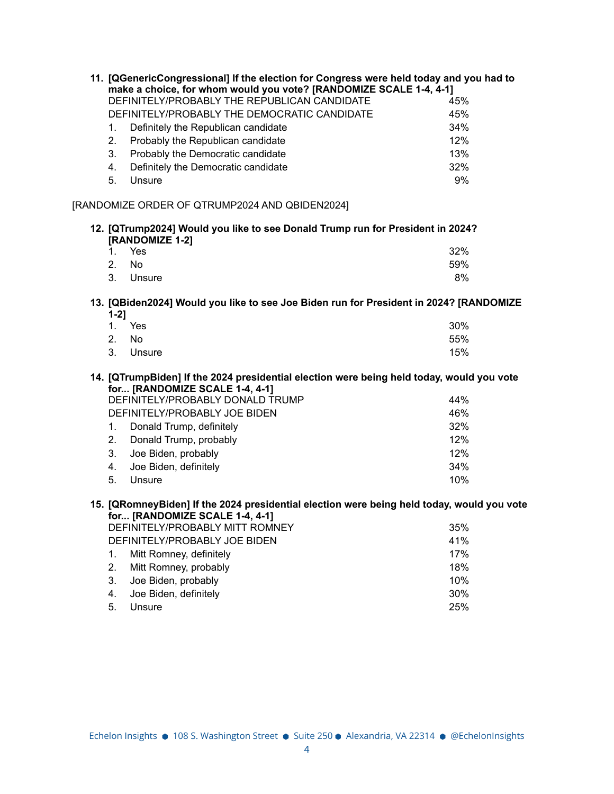|           | 11. [QGenericCongressional] If the election for Congress were held today and you had to<br>make a choice, for whom would you vote? [RANDOMIZE SCALE 1-4, 4-1]<br>DEFINITELY/PROBABLY THE REPUBLICAN CANDIDATE | 45% |
|-----------|---------------------------------------------------------------------------------------------------------------------------------------------------------------------------------------------------------------|-----|
|           | DEFINITELY/PROBABLY THE DEMOCRATIC CANDIDATE                                                                                                                                                                  | 45% |
| 1.        | Definitely the Republican candidate                                                                                                                                                                           | 34% |
| 2.        | Probably the Republican candidate                                                                                                                                                                             | 12% |
| 3.        | Probably the Democratic candidate                                                                                                                                                                             | 13% |
| 4.        | Definitely the Democratic candidate                                                                                                                                                                           | 32% |
| 5.        | Unsure                                                                                                                                                                                                        | 9%  |
|           | [RANDOMIZE ORDER OF QTRUMP2024 AND QBIDEN2024]                                                                                                                                                                |     |
|           | 12. [QTrump2024] Would you like to see Donald Trump run for President in 2024?                                                                                                                                |     |
| 1.        | [RANDOMIZE 1-2]<br>Yes                                                                                                                                                                                        | 32% |
| 2.        | <b>No</b>                                                                                                                                                                                                     | 59% |
| 3.        | Unsure                                                                                                                                                                                                        | 8%  |
|           |                                                                                                                                                                                                               |     |
| $1 - 2$ ] | 13. [QBiden2024] Would you like to see Joe Biden run for President in 2024? [RANDOMIZE                                                                                                                        |     |
| 1.        | Yes                                                                                                                                                                                                           | 30% |
| 2.        | <b>No</b>                                                                                                                                                                                                     | 55% |
| 3.        | Unsure                                                                                                                                                                                                        | 15% |
|           | 14. [QTrumpBiden] If the 2024 presidential election were being held today, would you vote<br>for [RANDOMIZE SCALE 1-4, 4-1]                                                                                   |     |
|           | DEFINITELY/PROBABLY DONALD TRUMP                                                                                                                                                                              | 44% |
|           | DEFINITELY/PROBABLY JOE BIDEN                                                                                                                                                                                 | 46% |
| 1.        | Donald Trump, definitely                                                                                                                                                                                      | 32% |
| 2.        | Donald Trump, probably                                                                                                                                                                                        | 12% |
| 3.        | Joe Biden, probably                                                                                                                                                                                           | 12% |
| 4.        | Joe Biden, definitely                                                                                                                                                                                         | 34% |
| 5.        | Unsure                                                                                                                                                                                                        | 10% |
|           | 15. [QRomneyBiden] If the 2024 presidential election were being held today, would you vote<br>for [RANDOMIZE SCALE 1-4, 4-1]                                                                                  |     |
|           | DEFINITELY/PROBABLY MITT ROMNEY                                                                                                                                                                               | 35% |
|           | DEFINITELY/PROBABLY JOE BIDEN                                                                                                                                                                                 | 41% |
| 1.        | Mitt Romney, definitely                                                                                                                                                                                       | 17% |
| 2.        | Mitt Romney, probably                                                                                                                                                                                         | 18% |
| 3.        | Joe Biden, probably                                                                                                                                                                                           | 10% |
| 4.        | Joe Biden, definitely                                                                                                                                                                                         | 30% |
| 5.        | Unsure                                                                                                                                                                                                        | 25% |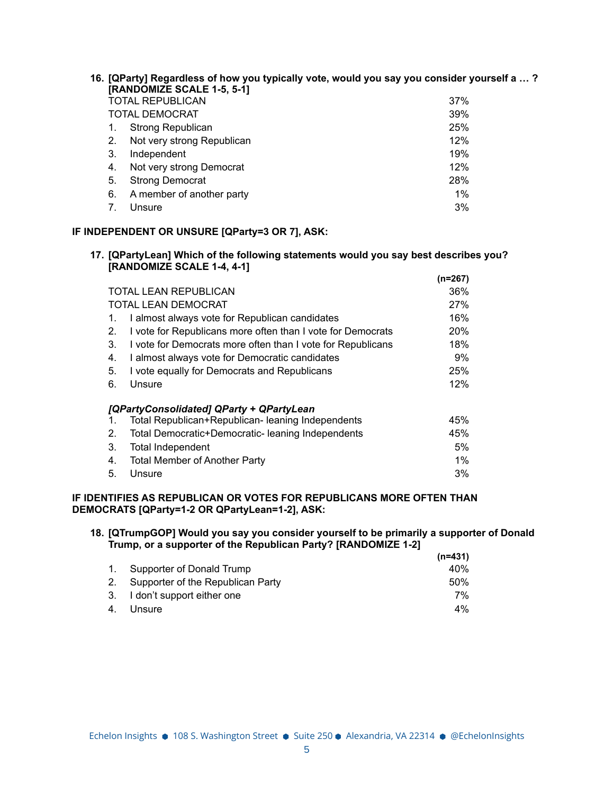|    | 16. [QParty] Regardless of how you typically vote, would you say you consider yourself a ?<br>[RANDOMIZE SCALE 1-5, 5-1] |       |
|----|--------------------------------------------------------------------------------------------------------------------------|-------|
|    | <b>TOTAL REPUBLICAN</b>                                                                                                  | 37%   |
|    | TOTAL DEMOCRAT                                                                                                           | 39%   |
| 1. | <b>Strong Republican</b>                                                                                                 | 25%   |
| 2. | Not very strong Republican                                                                                               | 12%   |
| 3. | Independent                                                                                                              | 19%   |
| 4. | Not very strong Democrat                                                                                                 | 12%   |
| 5. | <b>Strong Democrat</b>                                                                                                   | 28%   |
| 6. | A member of another party                                                                                                | $1\%$ |
|    | Unsure                                                                                                                   | 3%    |

# **IF INDEPENDENT OR UNSURE [QParty=3 OR 7], ASK:**

#### **17. [QPartyLean] Which of the following statements would you say best describes you? [RANDOMIZE SCALE 1-4, 4-1] (n=267)**

|                                                                   | (n=267)    |
|-------------------------------------------------------------------|------------|
| <b>TOTAL LEAN REPUBLICAN</b>                                      | 36%        |
| <b>TOTAL LEAN DEMOCRAT</b>                                        | 27%        |
| I almost always vote for Republican candidates<br>1.              | 16%        |
| I vote for Republicans more often than I vote for Democrats<br>2. | <b>20%</b> |
| I vote for Democrats more often than I vote for Republicans<br>3. | 18%        |
| I almost always vote for Democratic candidates<br>4.              | $9\%$      |
| I vote equally for Democrats and Republicans<br>5.                | 25%        |
| Unsure<br>6.                                                      | 12%        |
| [QPartyConsolidated] QParty + QPartyLean                          |            |
| Total Republican+Republican- leaning Independents<br>1.           | 45%        |
| Total Democratic+Democratic- leaning Independents<br>2.           | 45%        |
| 3.<br>Total Independent                                           | 5%         |
| <b>Total Member of Another Party</b><br>4.                        | $1\%$      |
| 5.<br>Unsure                                                      | 3%         |

## **IF IDENTIFIES AS REPUBLICAN OR VOTES FOR REPUBLICANS MORE OFTEN THAN DEMOCRATS [QParty=1-2 OR QPartyLean=1-2], ASK:**

#### **18. [QTrumpGOP] Would you say you consider yourself to be primarily a supporter of Donald Trump, or a supporter of the Republican Party? [RANDOMIZE 1-2] (n=431)**

|                                      | (n=431) |
|--------------------------------------|---------|
| 1. Supporter of Donald Trump         | 40%     |
| 2. Supporter of the Republican Party | .50%    |
| 3. I don't support either one        | 7%      |
| 4. Unsure                            | 4%      |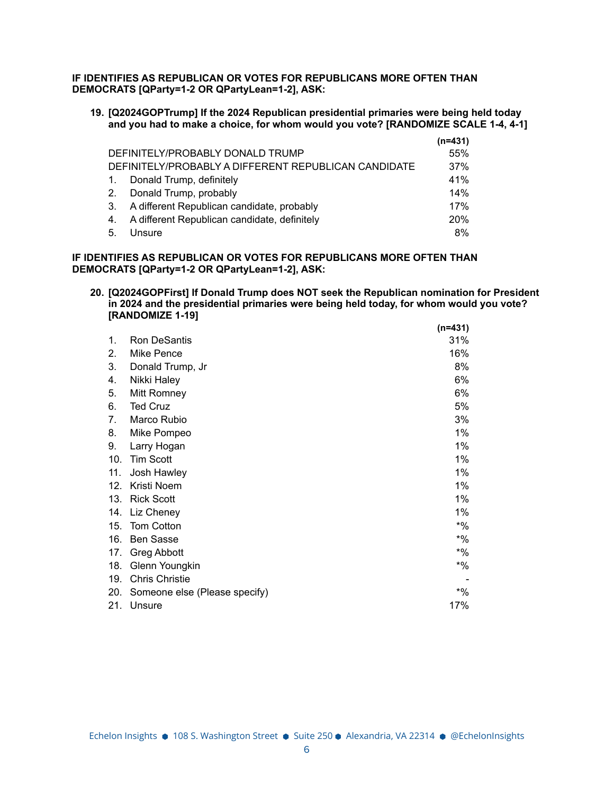**IF IDENTIFIES AS REPUBLICAN OR VOTES FOR REPUBLICANS MORE OFTEN THAN DEMOCRATS [QParty=1-2 OR QPartyLean=1-2], ASK:**

**19. [Q2024GOPTrump] If the 2024 Republican presidential primaries were being held today and you had to make a choice, for whom would you vote? [RANDOMIZE SCALE 1-4, 4-1]**

|                  |                                                      | $(n=431)$  |
|------------------|------------------------------------------------------|------------|
|                  | DEFINITELY/PROBABLY DONALD TRUMP                     | 55%        |
|                  | DEFINITELY/PROBABLY A DIFFERENT REPUBLICAN CANDIDATE | 37%        |
| $\overline{1}$ . | Donald Trump, definitely                             | 41%        |
| 2.               | Donald Trump, probably                               | 14%        |
| 3.               | A different Republican candidate, probably           | 17%        |
| 4.               | A different Republican candidate, definitely         | <b>20%</b> |
| -5.              | Unsure                                               | 8%         |

### **IF IDENTIFIES AS REPUBLICAN OR VOTES FOR REPUBLICANS MORE OFTEN THAN DEMOCRATS [QParty=1-2 OR QPartyLean=1-2], ASK:**

**20. [Q2024GOPFirst] If Donald Trump does NOT seek the Republican nomination for President in 2024 and the presidential primaries were being held today, for whom would you vote? [RANDOMIZE 1-19] (n=431)**

|     |                               | (n=431) |
|-----|-------------------------------|---------|
| 1.  | Ron DeSantis                  | 31%     |
| 2.  | Mike Pence                    | 16%     |
| 3.  | Donald Trump, Jr              | 8%      |
| 4.  | Nikki Haley                   | 6%      |
| 5.  | Mitt Romney                   | 6%      |
| 6.  | <b>Ted Cruz</b>               | 5%      |
| 7.  | Marco Rubio                   | 3%      |
| 8.  | Mike Pompeo                   | 1%      |
| 9.  | Larry Hogan                   | 1%      |
| 10. | <b>Tim Scott</b>              | 1%      |
| 11. | Josh Hawley                   | 1%      |
| 12. | Kristi Noem                   | 1%      |
| 13. | <b>Rick Scott</b>             | 1%      |
| 14. | Liz Cheney                    | 1%      |
| 15. | <b>Tom Cotton</b>             | $*9/6$  |
| 16. | <b>Ben Sasse</b>              | $*9/6$  |
| 17. | <b>Greg Abbott</b>            | $*9/6$  |
| 18. | Glenn Youngkin                | $*9/6$  |
| 19. | <b>Chris Christie</b>         |         |
| 20. | Someone else (Please specify) | $*9/6$  |
| 21. | Unsure                        | 17%     |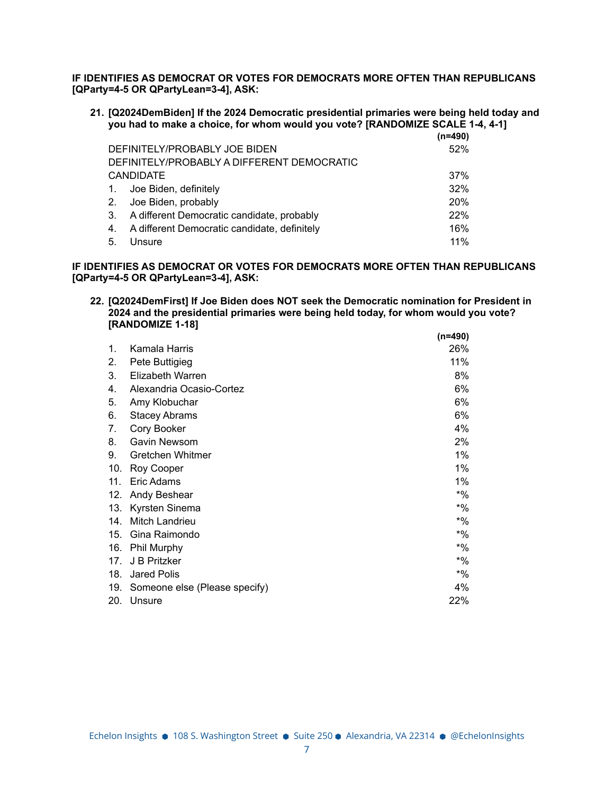**IF IDENTIFIES AS DEMOCRAT OR VOTES FOR DEMOCRATS MORE OFTEN THAN REPUBLICANS [QParty=4-5 OR QPartyLean=3-4], ASK:**

**21. [Q2024DemBiden] If the 2024 Democratic presidential primaries were being held today and you had to make a choice, for whom would you vote? [RANDOMIZE SCALE 1-4, 4-1]**

|                |                                                 | $(n=490)$ |
|----------------|-------------------------------------------------|-----------|
|                | DEFINITELY/PROBABLY JOE BIDEN                   | 52%       |
|                | DEFINITELY/PROBABLY A DIFFERENT DEMOCRATIC      |           |
|                | <b>CANDIDATE</b>                                | 37%       |
|                | 1. Joe Biden, definitely                        | 32%       |
|                | 2. Joe Biden, probably                          | 20%       |
|                | 3. A different Democratic candidate, probably   | 22%       |
|                | 4. A different Democratic candidate, definitely | 16%       |
| 5 <sub>1</sub> | Unsure                                          | 11%       |

**IF IDENTIFIES AS DEMOCRAT OR VOTES FOR DEMOCRATS MORE OFTEN THAN REPUBLICANS [QParty=4-5 OR QPartyLean=3-4], ASK:**

**22. [Q2024DemFirst] If Joe Biden does NOT seek the Democratic nomination for President in 2024 and the presidential primaries were being held today, for whom would you vote? [RANDOMIZE 1-18] (n=490)**

|     |                               | (n=490) |
|-----|-------------------------------|---------|
| 1.  | Kamala Harris                 | 26%     |
| 2.  | Pete Buttigieg                | 11%     |
| 3.  | Elizabeth Warren              | 8%      |
| 4.  | Alexandria Ocasio-Cortez      | 6%      |
| 5.  | Amy Klobuchar                 | 6%      |
| 6.  | <b>Stacey Abrams</b>          | 6%      |
| 7.  | Cory Booker                   | 4%      |
| 8.  | Gavin Newsom                  | 2%      |
| 9.  | Gretchen Whitmer              | 1%      |
| 10. | Roy Cooper                    | 1%      |
| 11. | Eric Adams                    | 1%      |
| 12. | Andy Beshear                  | $*9/6$  |
| 13. | Kyrsten Sinema                | $*9/6$  |
| 14. | Mitch Landrieu                | $*$ %   |
| 15. | Gina Raimondo                 | $*$ %   |
| 16. | Phil Murphy                   | $*9/6$  |
| 17. | J B Pritzker                  | $*9/6$  |
| 18. | <b>Jared Polis</b>            | $*9/6$  |
| 19. | Someone else (Please specify) | 4%      |
| 20. | Unsure                        | 22%     |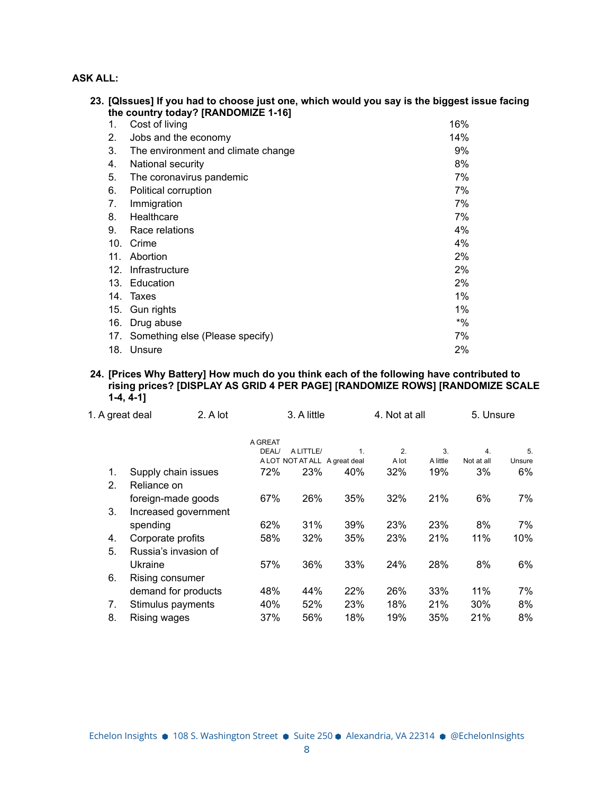# **ASK ALL:**

|     | 23. [QIssues] If you had to choose just one, which would you say is the biggest issue facing<br>the country today? [RANDOMIZE 1-16] |        |
|-----|-------------------------------------------------------------------------------------------------------------------------------------|--------|
| 1.  | Cost of living                                                                                                                      | 16%    |
| 2.  | Jobs and the economy                                                                                                                | 14%    |
| 3.  | The environment and climate change                                                                                                  | 9%     |
| 4.  | National security                                                                                                                   | 8%     |
| 5.  | The coronavirus pandemic                                                                                                            | 7%     |
| 6.  | Political corruption                                                                                                                | 7%     |
| 7.  | Immigration                                                                                                                         | 7%     |
| 8.  | Healthcare                                                                                                                          | 7%     |
| 9.  | Race relations                                                                                                                      | 4%     |
| 10. | Crime                                                                                                                               | 4%     |
| 11. | Abortion                                                                                                                            | $2\%$  |
| 12. | Infrastructure                                                                                                                      | 2%     |
|     | 13. Education                                                                                                                       | 2%     |
|     | 14. Taxes                                                                                                                           | 1%     |
| 15. | Gun rights                                                                                                                          | $1\%$  |
| 16. | Drug abuse                                                                                                                          | $*9/6$ |
| 17. | Something else (Please specify)                                                                                                     | 7%     |
|     | 18. Unsure                                                                                                                          | 2%     |

### **24. [Prices Why Battery] How much do you think each of the following have contributed to rising prices? [DISPLAY AS GRID 4 PER PAGE] [RANDOMIZE ROWS] [RANDOMIZE SCALE 1-4, 4-1]**

| 1. A great deal | 2. A lot             | 4. Not at all |           | 3. A little                   |       |          | 5. Unsure  |        |
|-----------------|----------------------|---------------|-----------|-------------------------------|-------|----------|------------|--------|
|                 |                      | A GREAT       |           |                               |       |          |            |        |
|                 |                      | DEAL/         | A LITTLE/ | 1.                            | 2.    | 3.       | 4.         | 5.     |
|                 |                      |               |           | A LOT NOT AT ALL A great deal | A lot | A little | Not at all | Unsure |
| 1.              | Supply chain issues  | 72%           | 23%       | 40%                           | 32%   | 19%      | 3%         | 6%     |
| 2.              | Reliance on          |               |           |                               |       |          |            |        |
|                 | foreign-made goods   | 67%           | 26%       | 35%                           | 32%   | 21%      | 6%         | 7%     |
| 3.              | Increased government |               |           |                               |       |          |            |        |
|                 | spending             | 62%           | 31%       | 39%                           | 23%   | 23%      | 8%         | 7%     |
| 4.              | Corporate profits    | 58%           | 32%       | 35%                           | 23%   | 21%      | 11%        | 10%    |
| 5.              | Russia's invasion of |               |           |                               |       |          |            |        |
|                 | Ukraine              | 57%           | 36%       | 33%                           | 24%   | 28%      | 8%         | 6%     |
| 6.              | Rising consumer      |               |           |                               |       |          |            |        |
|                 | demand for products  | 48%           | 44%       | 22%                           | 26%   | 33%      | 11%        | 7%     |
| 7.              | Stimulus payments    | 40%           | 52%       | 23%                           | 18%   | 21%      | 30%        | 8%     |
| 8.              | Rising wages         | 37%           | 56%       | 18%                           | 19%   | 35%      | 21%        | 8%     |
|                 |                      |               |           |                               |       |          |            |        |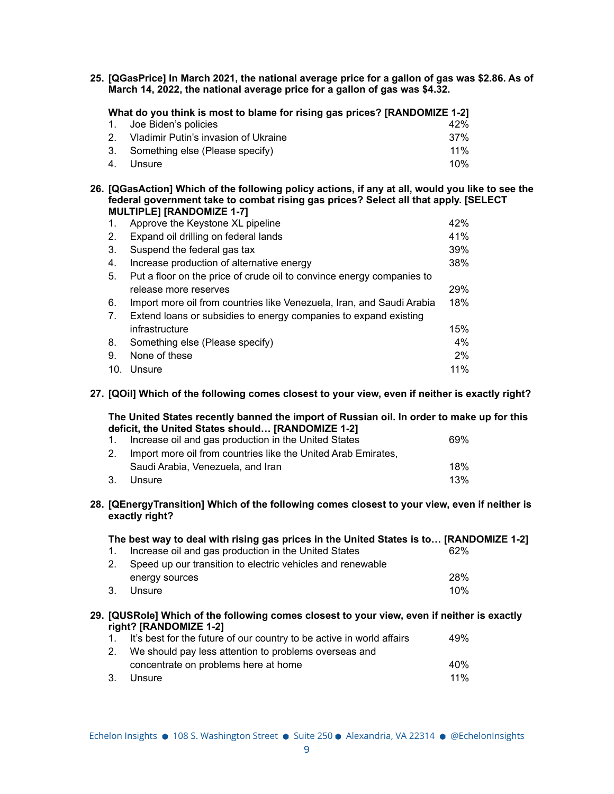**25. [QGasPrice] In March 2021, the national average price for a gallon of gas was \$2.86. As of March 14, 2022, the national average price for a gallon of gas was \$4.32.**

| What do you think is most to blame for rising gas prices? [RANDOMIZE 1-2] |                                         |     |  |
|---------------------------------------------------------------------------|-----------------------------------------|-----|--|
|                                                                           | 1. Joe Biden's policies                 | 42% |  |
|                                                                           | 2. Vladimir Putin's invasion of Ukraine | 37% |  |
|                                                                           | 3. Something else (Please specify)      | 11% |  |
|                                                                           | 4. Unsure                               | 10% |  |

**26. [QGasAction] Which of the following policy actions, if any at all, would you like to see the federal government take to combat rising gas prices? Select all that apply. [SELECT MULTIPLE] [RANDOMIZE 1-7]**

| 1.             | Approve the Keystone XL pipeline                                      | 42%   |
|----------------|-----------------------------------------------------------------------|-------|
| 2.             | Expand oil drilling on federal lands                                  | 41%   |
| 3.             | Suspend the federal gas tax                                           | 39%   |
| 4.             | Increase production of alternative energy                             | 38%   |
| 5.             | Put a floor on the price of crude oil to convince energy companies to |       |
|                | release more reserves                                                 | 29%   |
| 6.             | Import more oil from countries like Venezuela, Iran, and Saudi Arabia | 18%   |
| 7 <sub>1</sub> | Extend loans or subsidies to energy companies to expand existing      |       |
|                | infrastructure                                                        | 15%   |
| 8.             | Something else (Please specify)                                       | 4%    |
| 9.             | None of these                                                         | $2\%$ |
| 10.            | Unsure                                                                | 11%   |

**27. [QOil] Which of the following comes closest to your view, even if neither is exactly right?**

**The United States recently banned the import of Russian oil. In order to make up for this deficit, the United States should… [RANDOMIZE 1-2]**

| 1. Increase oil and gas production in the United States          | 69% |
|------------------------------------------------------------------|-----|
| 2. Import more oil from countries like the United Arab Emirates, |     |
| Saudi Arabia, Venezuela, and Iran                                | 18% |
| 3. Unsure                                                        | 13% |

**28. [QEnergyTransition] Which of the following comes closest to your view, even if neither is exactly right?**

|                | The best way to deal with rising gas prices in the United States is to [RANDOMIZE 1-2] |     |
|----------------|----------------------------------------------------------------------------------------|-----|
|                | Increase oil and gas production in the United States                                   | 62% |
| 2 <sup>1</sup> | Speed up our transition to electric vehicles and renewable                             |     |
|                | energy sources                                                                         | 28% |
| 3              | Unsure                                                                                 | 10% |
|                |                                                                                        |     |

## **29. [QUSRole] Which of the following comes closest to your view, even if neither is exactly right? [RANDOMIZE 1-2]**

| 40%    |
|--------|
| $11\%$ |
|        |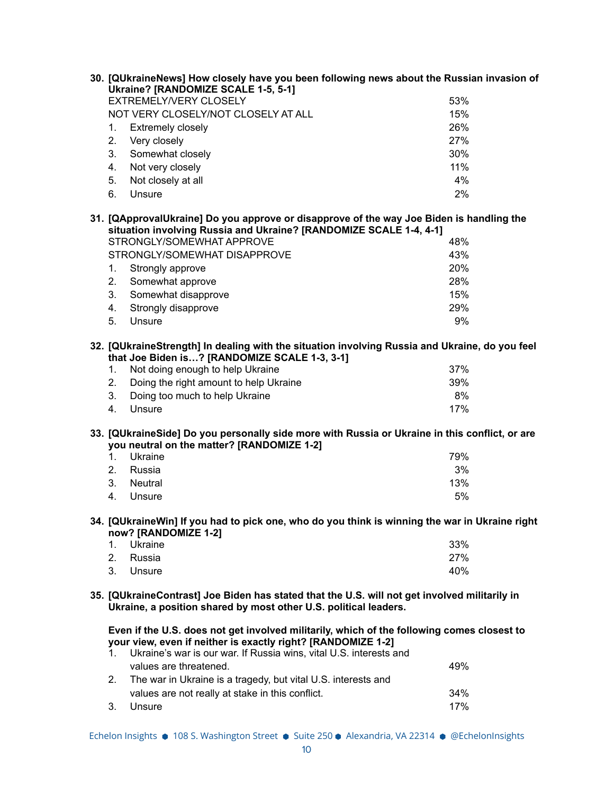| 30. [QUkraineNews] How closely have you been following news about the Russian invasion of                                                                                                                                              |     |
|----------------------------------------------------------------------------------------------------------------------------------------------------------------------------------------------------------------------------------------|-----|
| <b>Ukraine? [RANDOMIZE SCALE 1-5, 5-1]</b>                                                                                                                                                                                             |     |
| EXTREMELY/VERY CLOSELY                                                                                                                                                                                                                 | 53% |
| NOT VERY CLOSELY/NOT CLOSELY AT ALL                                                                                                                                                                                                    | 15% |
| <b>Extremely closely</b><br>1.                                                                                                                                                                                                         | 26% |
| 2.<br>Very closely                                                                                                                                                                                                                     | 27% |
| Somewhat closely<br>3.                                                                                                                                                                                                                 | 30% |
| Not very closely<br>4.                                                                                                                                                                                                                 | 11% |
| 5.<br>Not closely at all                                                                                                                                                                                                               | 4%  |
| 6.<br>Unsure                                                                                                                                                                                                                           | 2%  |
| 31. [QApprovalUkraine] Do you approve or disapprove of the way Joe Biden is handling the<br>situation involving Russia and Ukraine? [RANDOMIZE SCALE 1-4, 4-1]                                                                         |     |
| STRONGLY/SOMEWHAT APPROVE                                                                                                                                                                                                              | 48% |
| STRONGLY/SOMEWHAT DISAPPROVE                                                                                                                                                                                                           | 43% |
| 1.<br>Strongly approve                                                                                                                                                                                                                 | 20% |
| 2.                                                                                                                                                                                                                                     | 28% |
| Somewhat approve<br>3.                                                                                                                                                                                                                 | 15% |
| Somewhat disapprove                                                                                                                                                                                                                    |     |
| 4.<br>Strongly disapprove                                                                                                                                                                                                              | 29% |
| 5.<br>Unsure                                                                                                                                                                                                                           | 9%  |
| 32. [QUkraineStrength] In dealing with the situation involving Russia and Ukraine, do you feel<br>that Joe Biden is? [RANDOMIZE SCALE 1-3, 3-1]                                                                                        |     |
| Not doing enough to help Ukraine<br>1.                                                                                                                                                                                                 | 37% |
| Doing the right amount to help Ukraine<br>2.                                                                                                                                                                                           | 39% |
| 3.<br>Doing too much to help Ukraine                                                                                                                                                                                                   | 8%  |
| 4.<br>Unsure                                                                                                                                                                                                                           | 17% |
| 33. [QUkraineSide] Do you personally side more with Russia or Ukraine in this conflict, or are<br>you neutral on the matter? [RANDOMIZE 1-2]                                                                                           |     |
| $1_{-}$<br>Ukraine                                                                                                                                                                                                                     | 79% |
| 2.<br>Russia                                                                                                                                                                                                                           | 3%  |
| 3.<br><b>Neutral</b>                                                                                                                                                                                                                   | 13% |
| 4.<br>Unsure                                                                                                                                                                                                                           | 5%  |
|                                                                                                                                                                                                                                        |     |
| 34. [QUkraineWin] If you had to pick one, who do you think is winning the war in Ukraine right<br>now? [RANDOMIZE 1-2]                                                                                                                 |     |
| Ukraine<br>1.                                                                                                                                                                                                                          | 33% |
| 2.<br>Russia                                                                                                                                                                                                                           | 27% |
| 3.<br>Unsure                                                                                                                                                                                                                           | 40% |
| 35. [QUkraineContrast] Joe Biden has stated that the U.S. will not get involved militarily in                                                                                                                                          |     |
| Ukraine, a position shared by most other U.S. political leaders.                                                                                                                                                                       |     |
| Even if the U.S. does not get involved militarily, which of the following comes closest to<br>your view, even if neither is exactly right? [RANDOMIZE 1-2]<br>Ukraine's war is our war. If Russia wins, vital U.S. interests and<br>1. |     |
| values are threatened.                                                                                                                                                                                                                 | 49% |
| The war in Ukraine is a tragedy, but vital U.S. interests and<br>2.                                                                                                                                                                    |     |
| values are not really at stake in this conflict.                                                                                                                                                                                       | 34% |
| Unsure<br>3.                                                                                                                                                                                                                           | 17% |
|                                                                                                                                                                                                                                        |     |
| Echelon Insights ● 108 S. Washington Street ● Suite 250 ● Alexandria, VA 22314 ● @EchelonInsights                                                                                                                                      |     |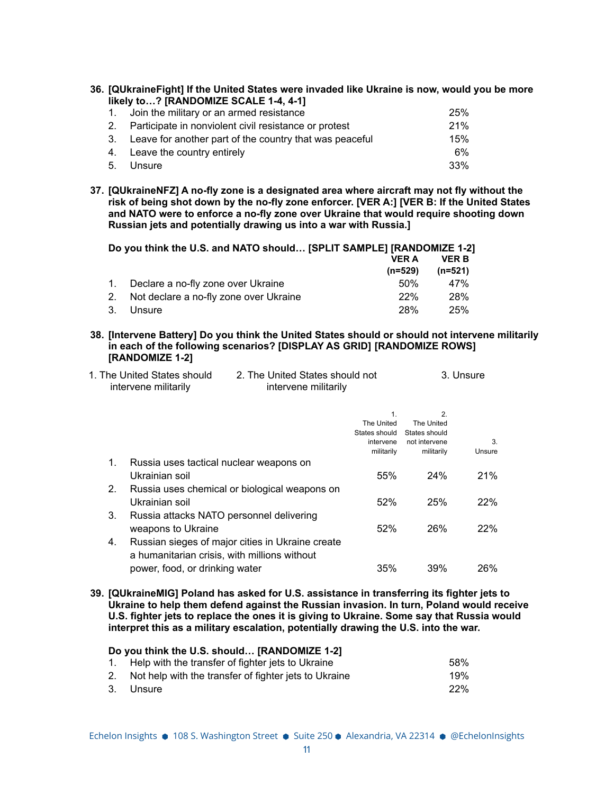| 36. [QUkraineFight] If the United States were invaded like Ukraine is now, would you be more |
|----------------------------------------------------------------------------------------------|
| likely to? [RANDOMIZE SCALE 1-4, 4-1]                                                        |

| 1. Join the military or an armed resistance                | 25% |
|------------------------------------------------------------|-----|
| 2. Participate in nonviolent civil resistance or protest   | 21% |
| 3. Leave for another part of the country that was peaceful | 15% |
| 4. Leave the country entirely                              | 6%  |
| 5. Unsure                                                  | 33% |

**37. [QUkraineNFZ] A no-fly zone is a designated area where aircraft may not fly without the risk of being shot down by the no-fly zone enforcer. [VER A:] [VER B: If the United States and NATO were to enforce a no-fly zone over Ukraine that would require shooting down Russian jets and potentially drawing us into a war with Russia.]**

**Do you think the U.S. and NATO should… [SPLIT SAMPLE] [RANDOMIZE 1-2] VER A (n=529) VER B (n=521)** 1. Declare a no-fly zone over Ukraine 11 11 12 12 13 13 147% 2. Not declare a no-fly zone over Ukraine 22% 28% 28%

- 3. Unsure 28% 25%
- **38. [Intervene Battery] Do you think the United States should or should not intervene militarily in each of the following scenarios? [DISPLAY AS GRID] [RANDOMIZE ROWS] [RANDOMIZE 1-2]**

| 1. The United States should | 2. The United States should not | 3. Unsure |
|-----------------------------|---------------------------------|-----------|
| intervene militarily        | intervene militarily            |           |
|                             |                                 |           |

|    |                                                  | 1.            | 2.            |        |
|----|--------------------------------------------------|---------------|---------------|--------|
|    |                                                  | The United    | The United    |        |
|    |                                                  | States should | States should |        |
|    |                                                  | intervene     | not intervene | 3      |
|    |                                                  | militarily    | militarily    | Unsure |
| 1. | Russia uses tactical nuclear weapons on          |               |               |        |
|    | Ukrainian soil                                   | 55%           | 24%           | 21%    |
| 2. | Russia uses chemical or biological weapons on    |               |               |        |
|    | Ukrainian soil                                   | 52%           | 25%           | 22%    |
| 3. | Russia attacks NATO personnel delivering         |               |               |        |
|    | weapons to Ukraine                               | 52%           | 26%           | 22%    |
| 4. | Russian sieges of major cities in Ukraine create |               |               |        |
|    | a humanitarian crisis, with millions without     |               |               |        |
|    | power, food, or drinking water                   | 35%           | 39%           | 26%    |

**39. [QUkraineMIG] Poland has asked for U.S. assistance in transferring its fighter jets to Ukraine to help them defend against the Russian invasion. In turn, Poland would receive U.S. fighter jets to replace the ones it is giving to Ukraine. Some say that Russia would interpret this as a military escalation, potentially drawing the U.S. into the war.**

| Do you think the U.S. should [RANDOMIZE 1-2] |                                                          |      |  |
|----------------------------------------------|----------------------------------------------------------|------|--|
|                                              | 1. Help with the transfer of fighter jets to Ukraine     | .58% |  |
|                                              | 2. Not help with the transfer of fighter jets to Ukraine | 19%  |  |
|                                              | 3. Unsure                                                | 22%  |  |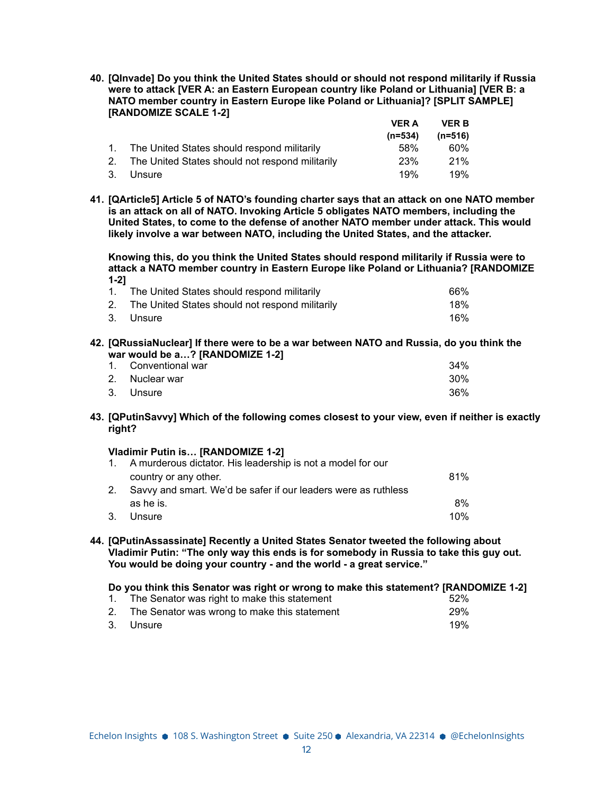**40. [QInvade] Do you think the United States should or should not respond militarily if Russia were to attack [VER A: an Eastern European country like Poland or Lithuania] [VER B: a NATO member country in Eastern Europe like Poland or Lithuania]? [SPLIT SAMPLE] [RANDOMIZE SCALE 1-2]**  $\lambda$  $\cdot$ **P** 

|                                                    | VER A      | VER B   |
|----------------------------------------------------|------------|---------|
|                                                    | $(n=534)$  | (n=516) |
| 1. The United States should respond militarily     | .58%       | 60%     |
| 2. The United States should not respond militarily | <b>23%</b> | 21%     |
| 3. Unsure                                          | 19%        | 19%     |

**41. [QArticle5] Article 5 of NATO's founding charter says that an attack on one NATO member is an attack on all of NATO. Invoking Article 5 obligates NATO members, including the United States, to come to the defense of another NATO member under attack. This would likely involve a war between NATO, including the United States, and the attacker.**

**Knowing this, do you think the United States should respond militarily if Russia were to attack a NATO member country in Eastern Europe like Poland or Lithuania? [RANDOMIZE 1-2]**

| 1. The United States should respond militarily     | 66% |
|----------------------------------------------------|-----|
| 2. The United States should not respond militarily | 18% |
| 3. Unsure                                          | 16% |

**42. [QRussiaNuclear] If there were to be a war between NATO and Russia, do you think the war would be a…? [RANDOMIZE 1-2]**

| 1. Conventional war | 34%    |
|---------------------|--------|
| 2. Nuclear war      | $30\%$ |
| 3. Unsure           | 36%    |

**43. [QPutinSavvy] Which of the following comes closest to your view, even if neither is exactly right?**

### **Vladimir Putin is… [RANDOMIZE 1-2]**

|    | 1. A murderous dictator. His leadership is not a model for our |     |
|----|----------------------------------------------------------------|-----|
|    | country or any other.                                          | 81% |
|    | Savvy and smart. We'd be safer if our leaders were as ruthless |     |
|    | as he is.                                                      | 8%  |
| 3. | Unsure                                                         | 10% |

**44. [QPutinAssassinate] Recently a United States Senator tweeted the following about Vladimir Putin: "The only way this ends is for somebody in Russia to take this guy out. You would be doing your country - and the world - a great service."**

**Do you think this Senator was right or wrong to make this statement? [RANDOMIZE 1-2]**

| 1. The Senator was right to make this statement | 52%        |
|-------------------------------------------------|------------|
| 2. The Senator was wrong to make this statement | <b>29%</b> |
| 3. Unsure                                       | 19%        |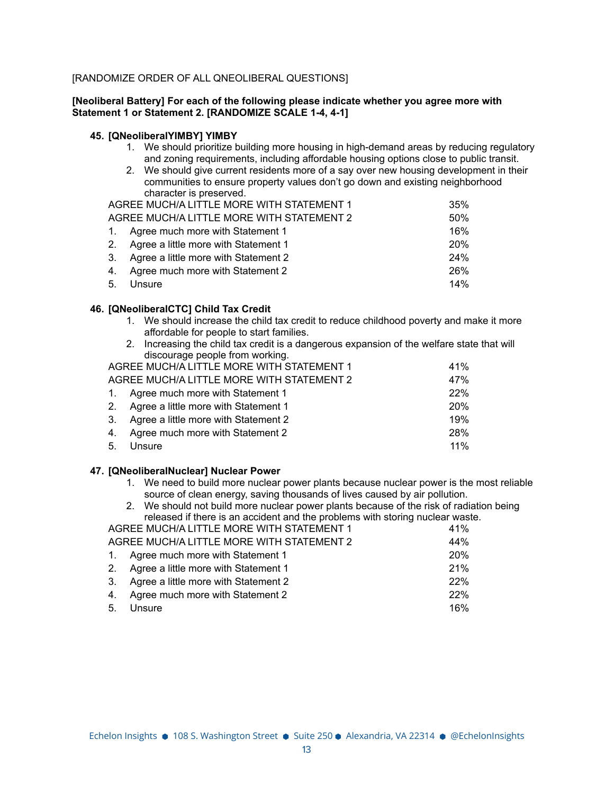## [RANDOMIZE ORDER OF ALL QNEOLIBERAL QUESTIONS]

### **[Neoliberal Battery] For each of the following please indicate whether you agree more with Statement 1 or Statement 2. [RANDOMIZE SCALE 1-4, 4-1]**

### **45. [QNeoliberalYIMBY] YIMBY**

- 1. We should prioritize building more housing in high-demand areas by reducing regulatory and zoning requirements, including affordable housing options close to public transit.
- 2. We should give current residents more of a say over new housing development in their communities to ensure property values don't go down and existing neighborhood character is preserved.

| AGREE MUCH/A LITTLE MORE WITH STATEMENT 1 | 35%        |
|-------------------------------------------|------------|
| AGREE MUCH/A LITTLE MORE WITH STATEMENT 2 | 50%        |
| 1. Agree much more with Statement 1       | 16%        |
| 2. Agree a little more with Statement 1   | <b>20%</b> |
| 3. Agree a little more with Statement 2   | 24%        |
| 4. Agree much more with Statement 2       | 26%        |
| 5. Unsure                                 | 14%        |

### **46. [QNeoliberalCTC] Child Tax Credit**

- 1. We should increase the child tax credit to reduce childhood poverty and make it more affordable for people to start families.
- 2. Increasing the child tax credit is a dangerous expansion of the welfare state that will discourage people from working.

| AGREE MUCH/A LITTLE MORE WITH STATEMENT 1 | 41%        |
|-------------------------------------------|------------|
| AGREE MUCH/A LITTLE MORE WITH STATEMENT 2 | 47%        |
| 1. Agree much more with Statement 1       | 22%        |
| 2. Agree a little more with Statement 1   | <b>20%</b> |
| 3. Agree a little more with Statement 2   | 19%        |
| 4. Agree much more with Statement 2       | 28%        |
| 5. Unsure                                 | $11\%$     |

# **47. [QNeoliberalNuclear] Nuclear Power**

- 1. We need to build more nuclear power plants because nuclear power is the most reliable source of clean energy, saving thousands of lives caused by air pollution.
- 2. We should not build more nuclear power plants because of the risk of radiation being released if there is an accident and the problems with storing nuclear waste.

| AGREE MUCH/A LITTLE MORE WITH STATEMENT 1 | 41% |
|-------------------------------------------|-----|
| AGREE MUCH/A LITTLE MORE WITH STATEMENT 2 | 44% |
| 1. Agree much more with Statement 1       | 20% |
| 2. Agree a little more with Statement 1   | 21% |
| 3. Agree a little more with Statement 2   | 22% |
| 4. Agree much more with Statement 2       | 22% |
| 5. Unsure                                 | 16% |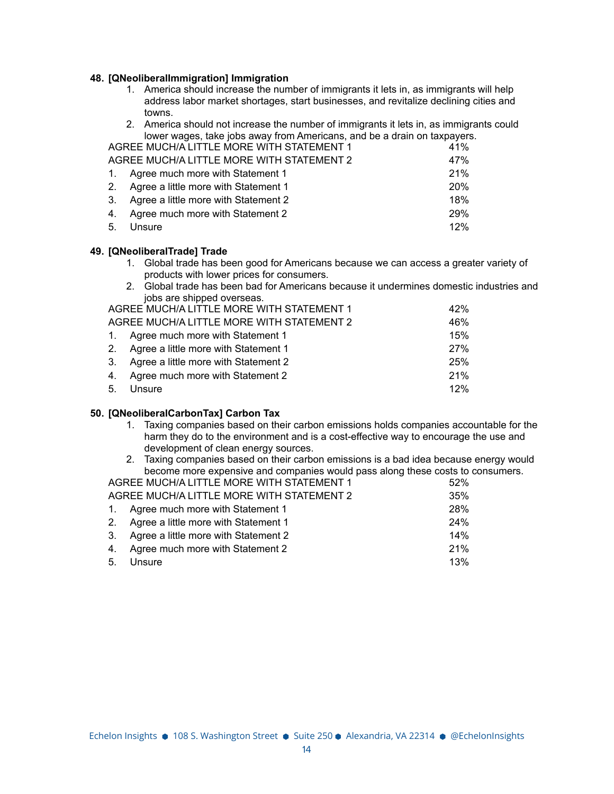### **48. [QNeoliberalImmigration] Immigration**

- 1. America should increase the number of immigrants it lets in, as immigrants will help address labor market shortages, start businesses, and revitalize declining cities and towns.
- 2. America should not increase the number of immigrants it lets in, as immigrants could lower wages, take jobs away from Americans, and be a drain on taxpayers.

| AGREE MUCH/A LITTLE MORE WITH STATEMENT 1 | 41%        |
|-------------------------------------------|------------|
| AGREE MUCH/A LITTLE MORE WITH STATEMENT 2 | 47%        |
| 1. Agree much more with Statement 1       | 21%        |
| 2. Agree a little more with Statement 1   | <b>20%</b> |
| 3. Agree a little more with Statement 2   | 18%        |
| 4. Agree much more with Statement 2       | <b>29%</b> |
| 5. Unsure                                 | 12%        |

### **49. [QNeoliberalTrade] Trade**

- 1. Global trade has been good for Americans because we can access a greater variety of products with lower prices for consumers.
- 2. Global trade has been bad for Americans because it undermines domestic industries and jobs are shipped overseas.

|    | AGREE MUCH/A LITTLE MORE WITH STATEMENT 1 | 42%        |
|----|-------------------------------------------|------------|
|    | AGREE MUCH/A LITTLE MORE WITH STATEMENT 2 | 46%        |
|    | 1. Agree much more with Statement 1       | 15%        |
|    | 2. Agree a little more with Statement 1   | <b>27%</b> |
|    | 3. Agree a little more with Statement 2   | 25%        |
| 4. | Agree much more with Statement 2          | 21%        |
|    | 5. Unsure                                 | 12%        |

### **50. [QNeoliberalCarbonTax] Carbon Tax**

- 1. Taxing companies based on their carbon emissions holds companies accountable for the harm they do to the environment and is a cost-effective way to encourage the use and development of clean energy sources.
- 2. Taxing companies based on their carbon emissions is a bad idea because energy would become more expensive and companies would pass along these costs to consumers. AGREE MUCH/A LITTLE MORE WITH STATEMENT 1

| AGNEE MOOLI/A LITTLE MONE WITH STATEMENT T | ິປ∠ /0 |
|--------------------------------------------|--------|
| AGREE MUCH/A LITTLE MORE WITH STATEMENT 2  | 35%    |
| 1. Agree much more with Statement 1        | 28%    |
| 2. Agree a little more with Statement 1    | 24%    |
| 3. Agree a little more with Statement 2    | 14%    |
| 4. Agree much more with Statement 2        | 21%    |
| 5. Unsure                                  | 13%    |
|                                            |        |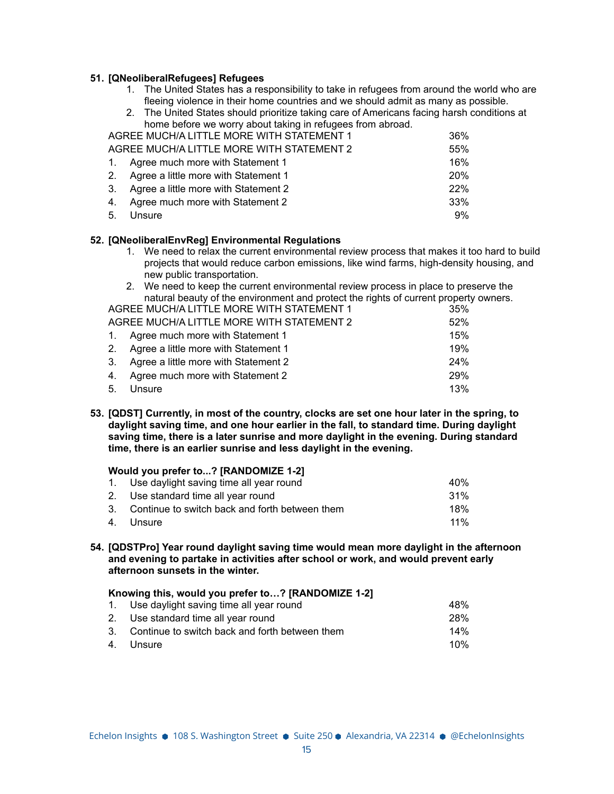### **51. [QNeoliberalRefugees] Refugees**

1. The United States has a responsibility to take in refugees from around the world who are fleeing violence in their home countries and we should admit as many as possible.

| 2. The United States should prioritize taking care of Americans facing harsh conditions at |            |
|--------------------------------------------------------------------------------------------|------------|
| home before we worry about taking in refugees from abroad.                                 |            |
| AGREE MUCH/A LITTLE MORE WITH STATEMENT 1                                                  | 36%        |
| AGREE MUCH/A LITTLE MORE WITH STATEMENT 2                                                  | 55%        |
| 1. Agree much more with Statement 1                                                        | 16%        |
| 2. Agree a little more with Statement 1                                                    | <b>20%</b> |
| 3. Agree a little more with Statement 2                                                    | 22%        |
| 4. Agree much more with Statement 2                                                        | 33%        |
| 5. Unsure                                                                                  | 9%         |

### **52. [QNeoliberalEnvReg] Environmental Regulations**

- 1. We need to relax the current environmental review process that makes it too hard to build projects that would reduce carbon emissions, like wind farms, high-density housing, and new public transportation.
- 2. We need to keep the current environmental review process in place to preserve the natural beauty of the environment and protect the rights of current property owners.

| AGREE MUCH/A LITTLE MORE WITH STATEMENT 1 | 35% |
|-------------------------------------------|-----|
| AGREE MUCH/A LITTLE MORE WITH STATEMENT 2 | 52% |
| 1. Agree much more with Statement 1       | 15% |
| 2. Agree a little more with Statement 1   | 19% |
| 3. Agree a little more with Statement 2   | 24% |
| 4. Agree much more with Statement 2       | 29% |
| 5. Unsure                                 | 13% |

**53. [QDST] Currently, in most of the country, clocks are set one hour later in the spring, to daylight saving time, and one hour earlier in the fall, to standard time. During daylight saving time, there is a later sunrise and more daylight in the evening. During standard time, there is an earlier sunrise and less daylight in the evening.**

# **Would you prefer to...? [RANDOMIZE 1-2]**

| 1. Use daylight saving time all year round        | 40 <sub>%</sub> |
|---------------------------------------------------|-----------------|
| 2. Use standard time all year round               | $.31\%$         |
| 3. Continue to switch back and forth between them | 18%             |
| 4. Unsure                                         | $11\%$          |

**54. [QDSTPro] Year round daylight saving time would mean more daylight in the afternoon and evening to partake in activities after school or work, and would prevent early afternoon sunsets in the winter.**

| Knowing this, would you prefer to? [RANDOMIZE 1-2] |                                                   |            |
|----------------------------------------------------|---------------------------------------------------|------------|
|                                                    | 1. Use daylight saving time all year round        | 48%        |
|                                                    | 2. Use standard time all year round               | <b>28%</b> |
|                                                    | 3. Continue to switch back and forth between them | 14%        |
|                                                    | 4. Unsure                                         | 10%        |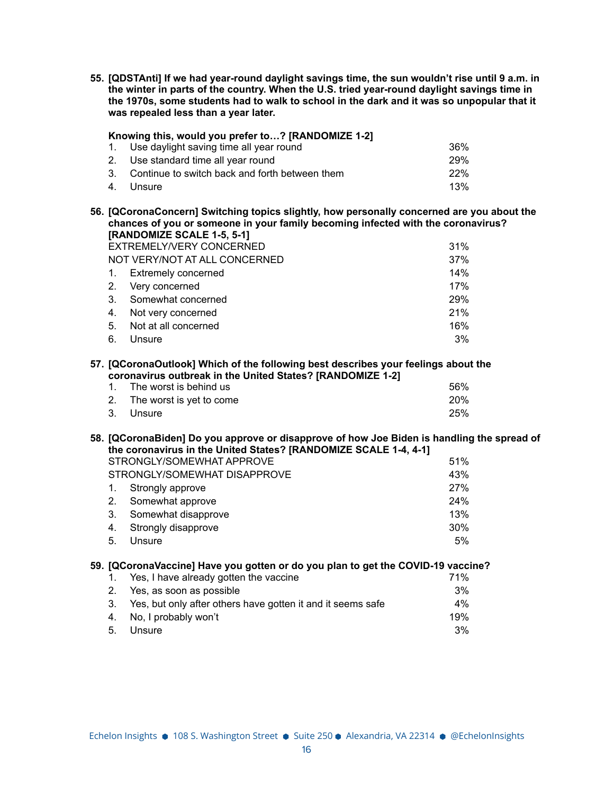**55. [QDSTAnti] If we had year-round daylight savings time, the sun wouldn't rise until 9 a.m. in the winter in parts of the country. When the U.S. tried year-round daylight savings time in the 1970s, some students had to walk to school in the dark and it was so unpopular that it was repealed less than a year later.**

| Knowing this, would you prefer to? [RANDOMIZE 1-2] |                                                |            |  |
|----------------------------------------------------|------------------------------------------------|------------|--|
|                                                    | 1. Use daylight saving time all year round     | 36%        |  |
|                                                    | 2. Use standard time all year round            | <b>29%</b> |  |
| 3 <sub>1</sub>                                     | Continue to switch back and forth between them | 22%        |  |
|                                                    | 4. Unsure                                      | 13%        |  |

**56. [QCoronaConcern] Switching topics slightly, how personally concerned are you about the chances of you or someone in your family becoming infected with the coronavirus? [RANDOMIZE SCALE 1-5, 5-1]**

|                | EXTREMELY/VERY CONCERNED      | 31% |
|----------------|-------------------------------|-----|
|                | NOT VERY/NOT AT ALL CONCERNED | 37% |
| $1_{\cdot}$    | <b>Extremely concerned</b>    | 14% |
|                | 2. Very concerned             | 17% |
| 3 <sub>1</sub> | Somewhat concerned            | 29% |
| 4.             | Not very concerned            | 21% |
| 5.             | Not at all concerned          | 16% |
| 6.             | Unsure                        | 3%  |

#### **57. [QCoronaOutlook] Which of the following best describes your feelings about the coronavirus outbreak in the United States? [RANDOMIZE 1-2]**

| $\sim$                      |            |  |
|-----------------------------|------------|--|
| 1. The worst is behind us   | 56%        |  |
| 2. The worst is yet to come | <b>20%</b> |  |
| 3. Unsure                   | 25%        |  |

# **58. [QCoronaBiden] Do you approve or disapprove of how Joe Biden is handling the spread of the coronavirus in the United States? [RANDOMIZE SCALE 1-4, 4-1]**

|                | STRONGLY/SOMEWHAT APPROVE    | 51% |
|----------------|------------------------------|-----|
|                | STRONGLY/SOMEWHAT DISAPPROVE | 43% |
| $\mathbf{1}$ . | Strongly approve             | 27% |
| 2.             | Somewhat approve             | 24% |
| 3.             | Somewhat disapprove          | 13% |
| 4.             | Strongly disapprove          | 30% |
| 5.             | Unsure                       | 5%  |

# **59. [QCoronaVaccine] Have you gotten or do you plan to get the COVID-19 vaccine?**

| 1. Yes, I have already gotten the vaccine                      | 71% |
|----------------------------------------------------------------|-----|
| 2. Yes, as soon as possible                                    | 3%  |
| 3. Yes, but only after others have gotten it and it seems safe | 4%  |
| 4. No, I probably won't                                        | 19% |
| 5. Unsure                                                      | 3%  |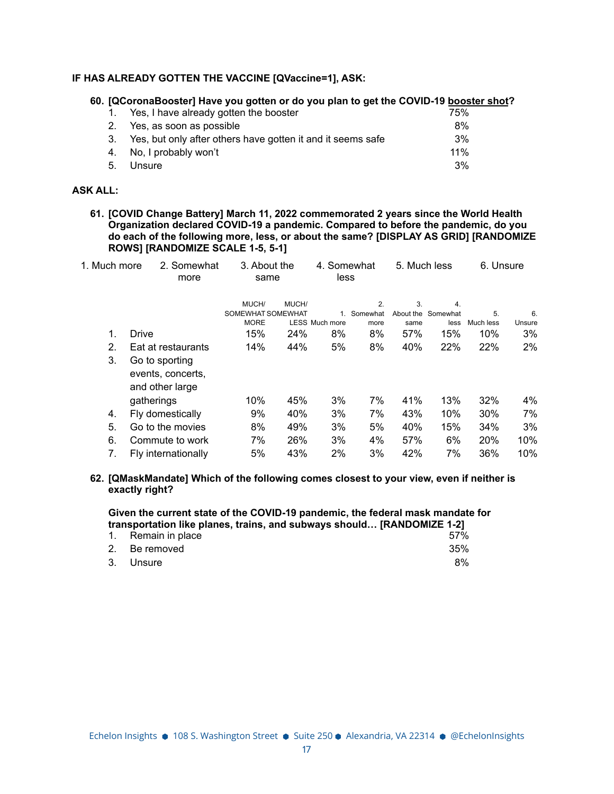### **IF HAS ALREADY GOTTEN THE VACCINE [QVaccine=1], ASK:**

# **60. [QCoronaBooster] Have you gotten or do you plan to get the COVID-19 booster shot?**

| 1. Yes, I have already gotten the booster                      | 75% |
|----------------------------------------------------------------|-----|
| 2. Yes, as soon as possible                                    | 8%  |
| 3. Yes, but only after others have gotten it and it seems safe | 3%  |
| 4. No, I probably won't                                        | 11% |
| 5. Unsure                                                      | 3%  |

### **ASK ALL:**

**61. [COVID Change Battery] March 11, 2022 commemorated 2 years since the World Health Organization declared COVID-19 a pandemic. Compared to before the pandemic, do you do each of the following more, less, or about the same? [DISPLAY AS GRID] [RANDOMIZE ROWS] [RANDOMIZE SCALE 1-5, 5-1]**

| 1. Much more | 2. Somewhat<br>more                                    | 3. About the<br>same |       | 4. Somewhat<br>less   |             | 5. Much less |                    | 6. Unsure |        |
|--------------|--------------------------------------------------------|----------------------|-------|-----------------------|-------------|--------------|--------------------|-----------|--------|
|              |                                                        | MUCH/                | MUCH/ |                       | 2.          | 3.           | 4.                 |           |        |
|              |                                                        | SOMEWHAT SOMEWHAT    |       |                       | 1. Somewhat |              | About the Somewhat | 5.        | 6.     |
|              |                                                        | <b>MORE</b>          |       | <b>LESS Much more</b> | more        | same         | less               | Much less | Unsure |
| 1.           | Drive                                                  | 15%                  | 24%   | 8%                    | 8%          | 57%          | 15%                | 10%       | 3%     |
| 2.           | Eat at restaurants                                     | 14%                  | 44%   | 5%                    | 8%          | 40%          | 22%                | 22%       | 2%     |
| 3.           | Go to sporting<br>events, concerts,<br>and other large |                      |       |                       |             |              |                    |           |        |
|              | gatherings                                             | 10%                  | 45%   | 3%                    | 7%          | 41%          | 13%                | 32%       | 4%     |
| 4.           | Fly domestically                                       | 9%                   | 40%   | 3%                    | 7%          | 43%          | 10%                | 30%       | 7%     |
| 5.           | Go to the movies                                       | 8%                   | 49%   | 3%                    | 5%          | 40%          | 15%                | 34%       | 3%     |
| 6.           | Commute to work                                        | 7%                   | 26%   | 3%                    | 4%          | 57%          | 6%                 | 20%       | 10%    |
| 7.           | Fly internationally                                    | 5%                   | 43%   | 2%                    | 3%          | 42%          | 7%                 | 36%       | 10%    |

### **62. [QMaskMandate] Which of the following comes closest to your view, even if neither is exactly right?**

**Given the current state of the COVID-19 pandemic, the federal mask mandate for transportation like planes, trains, and subways should… [RANDOMIZE 1-2]**

| 1. Remain in place |  |  | 57% |
|--------------------|--|--|-----|
| 2. Be removed      |  |  | 35% |
| 3. Unsure          |  |  | 8%  |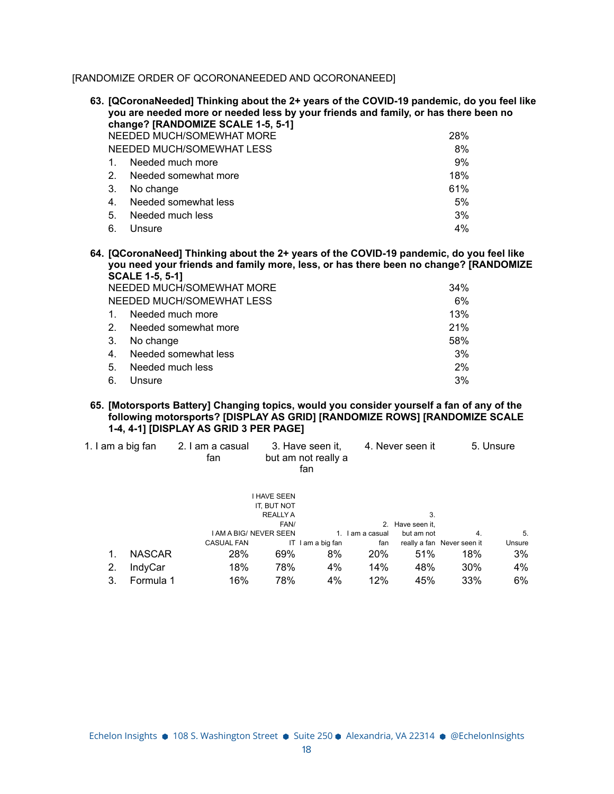[RANDOMIZE ORDER OF QCORONANEEDED AND QCORONANEED]

|         | 63. [QCoronaNeeded] Thinking about the 2+ years of the COVID-19 pandemic, do you feel like<br>you are needed more or needed less by your friends and family, or has there been no |     |
|---------|-----------------------------------------------------------------------------------------------------------------------------------------------------------------------------------|-----|
|         | change? [RANDOMIZE SCALE 1-5, 5-1]                                                                                                                                                |     |
|         | NEEDED MUCH/SOMEWHAT MORE                                                                                                                                                         | 28% |
|         | NEEDED MUCH/SOMEWHAT LESS                                                                                                                                                         | 8%  |
|         | Needed much more                                                                                                                                                                  | 9%  |
| $2_{-}$ | Needed somewhat more                                                                                                                                                              | 18% |
| 3.      | No change                                                                                                                                                                         | 61% |
| 4.      | Needed somewhat less                                                                                                                                                              | 5%  |
| 5.      | Needed much less                                                                                                                                                                  | 3%  |
| 6.      | Unsure                                                                                                                                                                            | 4%  |
|         |                                                                                                                                                                                   |     |

**64. [QCoronaNeed] Thinking about the 2+ years of the COVID-19 pandemic, do you feel like you need your friends and family more, less, or has there been no change? [RANDOMIZE SCALE 1-5, 5-1]**

| NEEDED MUCH/SOMEWHAT MORE | 34%                       |     |
|---------------------------|---------------------------|-----|
|                           | NEEDED MUCH/SOMEWHAT LESS | 6%  |
| $\mathbf{1}$ .            | Needed much more          | 13% |
| 2 <sub>1</sub>            | Needed somewhat more      | 21% |
| -3.                       | No change                 | 58% |
| 4 <sub>1</sub>            | Needed somewhat less      | 3%  |
| 5.                        | Needed much less          | 2%  |
| 6.                        | Unsure                    | 3%  |

### **65. [Motorsports Battery] Changing topics, would you consider yourself a fan of any of the following motorsports? [DISPLAY AS GRID] [RANDOMIZE ROWS] [RANDOMIZE SCALE 1-4, 4-1] [DISPLAY AS GRID 3 PER PAGE]**

| 1. I am a big fan |               | 2. I am a casual<br>fan |                               | 3. Have seen it.<br>but am not really a<br>fan |             | 4. Never seen it |                            | 5. Unsure |
|-------------------|---------------|-------------------------|-------------------------------|------------------------------------------------|-------------|------------------|----------------------------|-----------|
|                   |               |                         | <b>I HAVE SEEN</b>            |                                                |             |                  |                            |           |
|                   |               |                         | IT. BUT NOT                   |                                                |             |                  |                            |           |
|                   |               |                         | <b>REALLY A</b>               |                                                |             | 3.               |                            |           |
|                   |               |                         | FAN/                          |                                                |             | 2. Have seen it. |                            |           |
|                   |               |                         | <b>I AM A BIG/ NEVER SEEN</b> |                                                | am a casual | but am not       | 4.                         | 5.        |
|                   |               | <b>CASUAL FAN</b>       |                               | IT I am a big fan                              | fan         |                  | really a fan Never seen it | Unsure    |
| 1.                | <b>NASCAR</b> | 28%                     | 69%                           | 8%                                             | 20%         | 51%              | 18%                        | 3%        |
| 2.                | IndyCar       | 18%                     | 78%                           | 4%                                             | 14%         | 48%              | $30\%$                     | 4%        |
| 3.                | Formula 1     | 16%                     | 78%                           | 4%                                             | 12%         | 45%              | 33%                        | 6%        |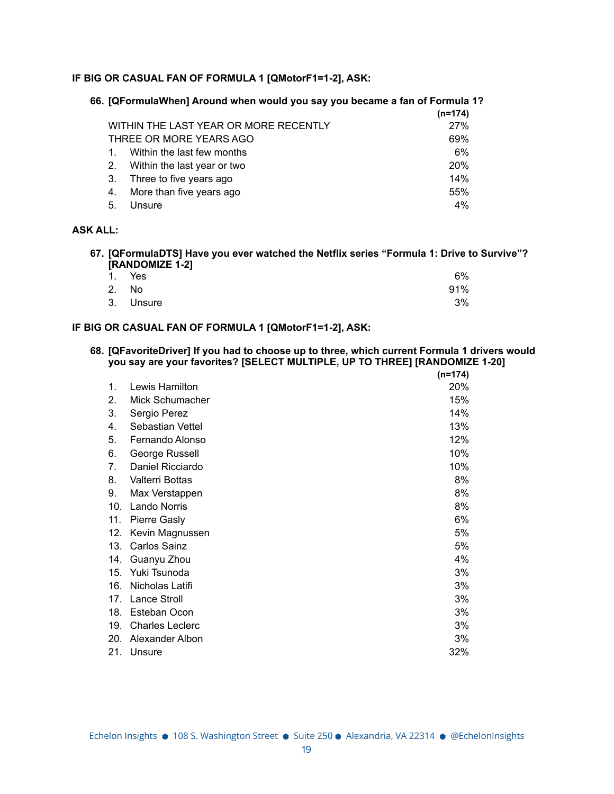# **IF BIG OR CASUAL FAN OF FORMULA 1 [QMotorF1=1-2], ASK:**

|                                       | $(n=174)$  |
|---------------------------------------|------------|
| WITHIN THE LAST YEAR OR MORE RECENTLY | 27%        |
| THREE OR MORE YEARS AGO               | 69%        |
| Within the last few months            | 6%         |
| 2. Within the last year or two        | <b>20%</b> |
| Three to five years ago<br>3.         | 14%        |
| More than five years ago              | 55%        |
| Unsure<br>5.                          | 4%         |

**66. [QFormulaWhen] Around when would you say you became a fan of Formula 1?**

## **ASK ALL:**

### **67. [QFormulaDTS] Have you ever watched the Netflix series "Formula 1: Drive to Survive"? [RANDOMIZE 1-2]**

| $\sim$ | 1. Yes    | 6%  |
|--------|-----------|-----|
|        | 2. No     | 91% |
|        | 3. Unsure | 3%  |

### **IF BIG OR CASUAL FAN OF FORMULA 1 [QMotorF1=1-2], ASK:**

#### **68. [QFavoriteDriver] If you had to choose up to three, which current Formula 1 drivers would you say are your favorites? [SELECT MULTIPLE, UP TO THREE] [RANDOMIZE 1-20] (n=174)**

|     |                        | $(n=1/4)$ |
|-----|------------------------|-----------|
| 1.  | Lewis Hamilton         | 20%       |
| 2.  | Mick Schumacher        | 15%       |
| 3.  | Sergio Perez           | 14%       |
| 4.  | Sebastian Vettel       | 13%       |
| 5.  | Fernando Alonso        | 12%       |
| 6.  | George Russell         | 10%       |
| 7.  | Daniel Ricciardo       | 10%       |
| 8.  | Valterri Bottas        | 8%        |
| 9.  | Max Verstappen         | 8%        |
| 10. | <b>Lando Norris</b>    | 8%        |
| 11. | <b>Pierre Gasly</b>    | 6%        |
| 12. | Kevin Magnussen        | 5%        |
| 13. | Carlos Sainz           | 5%        |
| 14. | Guanyu Zhou            | 4%        |
| 15. | Yuki Tsunoda           | 3%        |
| 16. | Nicholas Latifi        | 3%        |
| 17. | <b>Lance Stroll</b>    | 3%        |
| 18. | Esteban Ocon           | 3%        |
| 19. | <b>Charles Leclerc</b> | 3%        |
| 20. | Alexander Albon        | 3%        |
| 21. | Unsure                 | 32%       |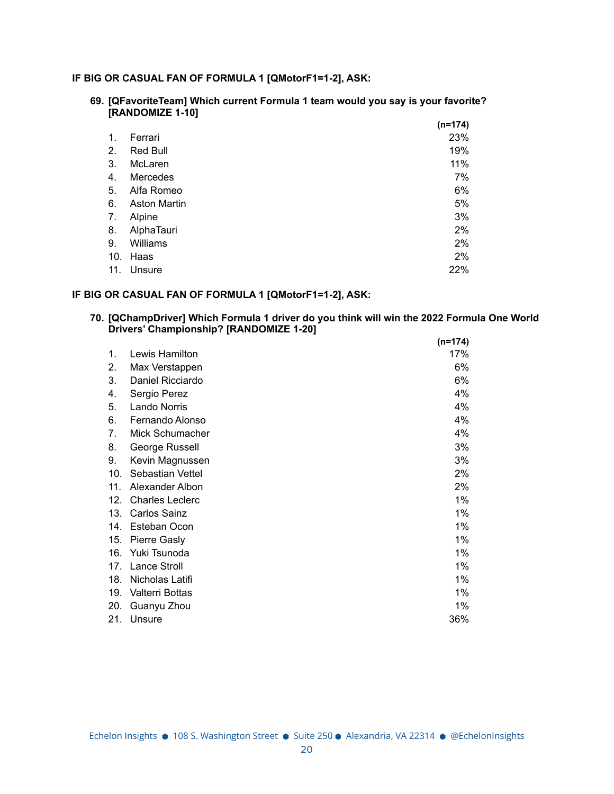# **IF BIG OR CASUAL FAN OF FORMULA 1 [QMotorF1=1-2], ASK:**

**69. [QFavoriteTeam] Which current Formula 1 team would you say is your favorite? [RANDOMIZE 1-10]**

|     |                     | $(n=174)$ |
|-----|---------------------|-----------|
| 1.  | Ferrari             | 23%       |
| 2.  | Red Bull            | 19%       |
| 3.  | McLaren             | 11%       |
| 4.  | Mercedes            | 7%        |
| 5.  | Alfa Romeo          | 6%        |
| 6.  | <b>Aston Martin</b> | 5%        |
| 7.  | Alpine              | 3%        |
| 8.  | AlphaTauri          | 2%        |
| 9.  | Williams            | 2%        |
| 10. | Haas                | 2%        |
| 11. | Unsure              | 22%       |

## **IF BIG OR CASUAL FAN OF FORMULA 1 [QMotorF1=1-2], ASK:**

**70. [QChampDriver] Which Formula 1 driver do you think will win the 2022 Formula One World Drivers' Championship? [RANDOMIZE 1-20] (n=174)**

|     |                        | $(n=1/4)$ |
|-----|------------------------|-----------|
| 1.  | Lewis Hamilton         | 17%       |
| 2.  | Max Verstappen         | 6%        |
| 3.  | Daniel Ricciardo       | 6%        |
| 4.  | Sergio Perez           | 4%        |
| 5.  | Lando Norris           | 4%        |
| 6.  | Fernando Alonso        | 4%        |
| 7.  | Mick Schumacher        | 4%        |
| 8.  | George Russell         | 3%        |
| 9.  | Kevin Magnussen        | 3%        |
| 10. | Sebastian Vettel       | 2%        |
| 11. | Alexander Albon        | 2%        |
| 12. | <b>Charles Leclerc</b> | 1%        |
| 13. | <b>Carlos Sainz</b>    | 1%        |
| 14. | Esteban Ocon           | 1%        |
| 15. | <b>Pierre Gasly</b>    | 1%        |
| 16. | Yuki Tsunoda           | 1%        |
| 17. | <b>Lance Stroll</b>    | 1%        |
| 18. | Nicholas Latifi        | 1%        |
| 19. | Valterri Bottas        | 1%        |
| 20. | Guanyu Zhou            | 1%        |
| 21. | Unsure                 | 36%       |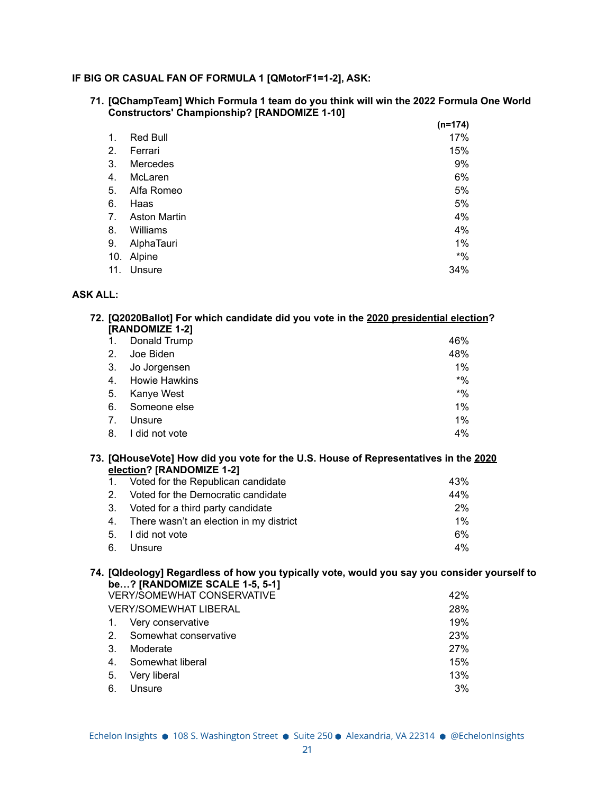# **IF BIG OR CASUAL FAN OF FORMULA 1 [QMotorF1=1-2], ASK:**

**71. [QChampTeam] Which Formula 1 team do you think will win the 2022 Formula One World Constructors' Championship? [RANDOMIZE 1-10]**

|     |                     | $(n=174)$ |
|-----|---------------------|-----------|
| 1.  | Red Bull            | 17%       |
| 2.  | Ferrari             | 15%       |
| 3.  | Mercedes            | 9%        |
| 4.  | McLaren             | 6%        |
| 5.  | Alfa Romeo          | 5%        |
| 6.  | Haas                | 5%        |
| 7.  | <b>Aston Martin</b> | 4%        |
| 8.  | Williams            | 4%        |
| 9.  | AlphaTauri          | 1%        |
| 10. | Alpine              | $*9/6$    |
| 11. | Unsure              | 34%       |

### **ASK ALL:**

|         | 72. [Q2020Ballot] For which candidate did you vote in the 2020 presidential election? |       |
|---------|---------------------------------------------------------------------------------------|-------|
|         | [RANDOMIZE 1-2]                                                                       |       |
|         | Donald Trump                                                                          | 46%   |
| $2_{-}$ | Joe Biden                                                                             | 48%   |
| 3.      | Jo Jorgensen                                                                          | $1\%$ |
| 4.      | <b>Howie Hawkins</b>                                                                  | $*$ % |
| 5.      | Kanye West                                                                            | $*$ % |
| 6.      | Someone else                                                                          | 1%    |
| 7.      | Unsure                                                                                | 1%    |
| 8.      | did not vote                                                                          | 4%    |

### **73. [QHouseVote] How did you vote for the U.S. House of Representatives in the 2020 election? [RANDOMIZE 1-2]**

| 1. Voted for the Republican candidate      | 43%   |
|--------------------------------------------|-------|
| 2. Voted for the Democratic candidate      | 44%   |
| 3. Voted for a third party candidate       | 2%    |
| 4. There wasn't an election in my district | $1\%$ |
| 5. I did not vote                          | 6%    |
| 6. Unsure                                  | $4\%$ |

### **74. [QIdeology] Regardless of how you typically vote, would you say you consider yourself to be…? [RANDOMIZE SCALE 1-5, 5-1]**

|                | <b>VERY/SOMEWHAT CONSERVATIVE</b> | 42% |
|----------------|-----------------------------------|-----|
|                | <b>VERY/SOMEWHAT LIBERAL</b>      | 28% |
| $\mathbf{1}$ . | Very conservative                 | 19% |
| 2 <sup>2</sup> | Somewhat conservative             | 23% |
| -3.            | Moderate                          | 27% |
| 4.             | Somewhat liberal                  | 15% |
| -5.            | Very liberal                      | 13% |
| 6.             | Unsure                            | 3%  |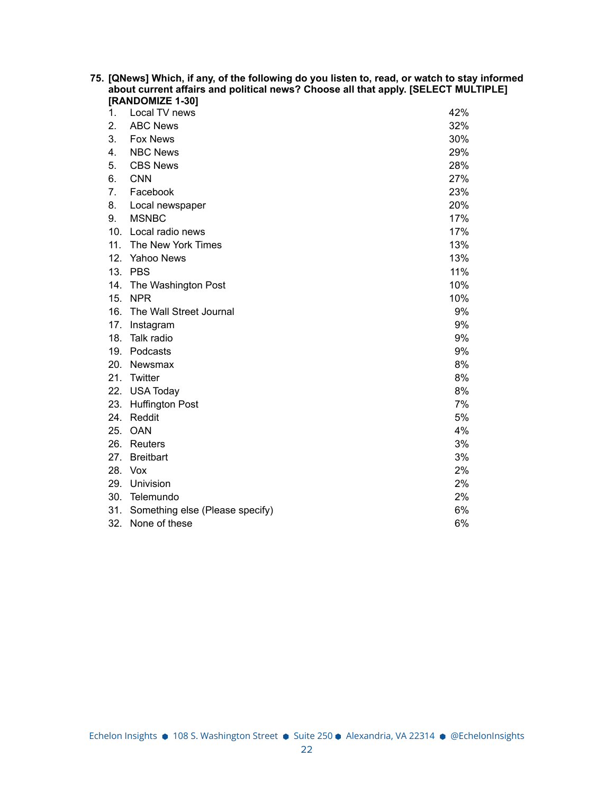| 75. [QNews] Which, if any, of the following do you listen to, read, or watch to stay informed<br>about current affairs and political news? Choose all that apply. [SELECT MULTIPLE] |                                     |     |  |  |
|-------------------------------------------------------------------------------------------------------------------------------------------------------------------------------------|-------------------------------------|-----|--|--|
| 1.                                                                                                                                                                                  | [RANDOMIZE 1-30]<br>Local TV news   | 42% |  |  |
| 2.                                                                                                                                                                                  | <b>ABC News</b>                     | 32% |  |  |
| 3.                                                                                                                                                                                  | <b>Fox News</b>                     | 30% |  |  |
| 4.                                                                                                                                                                                  | <b>NBC News</b>                     | 29% |  |  |
| 5.                                                                                                                                                                                  | <b>CBS News</b>                     | 28% |  |  |
| 6.                                                                                                                                                                                  | <b>CNN</b>                          | 27% |  |  |
| 7.                                                                                                                                                                                  | Facebook                            | 23% |  |  |
| 8.                                                                                                                                                                                  | Local newspaper                     | 20% |  |  |
| 9.                                                                                                                                                                                  | <b>MSNBC</b>                        | 17% |  |  |
|                                                                                                                                                                                     | 10. Local radio news                | 17% |  |  |
|                                                                                                                                                                                     | 11. The New York Times              | 13% |  |  |
|                                                                                                                                                                                     | 12. Yahoo News                      | 13% |  |  |
|                                                                                                                                                                                     | 13. PBS                             | 11% |  |  |
|                                                                                                                                                                                     | 14. The Washington Post             | 10% |  |  |
|                                                                                                                                                                                     | 15. NPR                             | 10% |  |  |
| 16.                                                                                                                                                                                 | The Wall Street Journal             | 9%  |  |  |
|                                                                                                                                                                                     | 17. Instagram                       | 9%  |  |  |
|                                                                                                                                                                                     | 18. Talk radio                      | 9%  |  |  |
|                                                                                                                                                                                     | 19. Podcasts                        | 9%  |  |  |
|                                                                                                                                                                                     | 20. Newsmax                         | 8%  |  |  |
|                                                                                                                                                                                     | 21. Twitter                         | 8%  |  |  |
| 22.                                                                                                                                                                                 | <b>USA Today</b>                    | 8%  |  |  |
| 23.                                                                                                                                                                                 | <b>Huffington Post</b>              | 7%  |  |  |
|                                                                                                                                                                                     | 24. Reddit                          | 5%  |  |  |
|                                                                                                                                                                                     | 25. OAN                             | 4%  |  |  |
|                                                                                                                                                                                     | 26. Reuters                         | 3%  |  |  |
|                                                                                                                                                                                     | 27. Breitbart                       | 3%  |  |  |
|                                                                                                                                                                                     | 28. Vox                             | 2%  |  |  |
|                                                                                                                                                                                     | 29. Univision                       | 2%  |  |  |
|                                                                                                                                                                                     | 30. Telemundo                       | 2%  |  |  |
|                                                                                                                                                                                     | 31. Something else (Please specify) | 6%  |  |  |
|                                                                                                                                                                                     | 32. None of these                   | 6%  |  |  |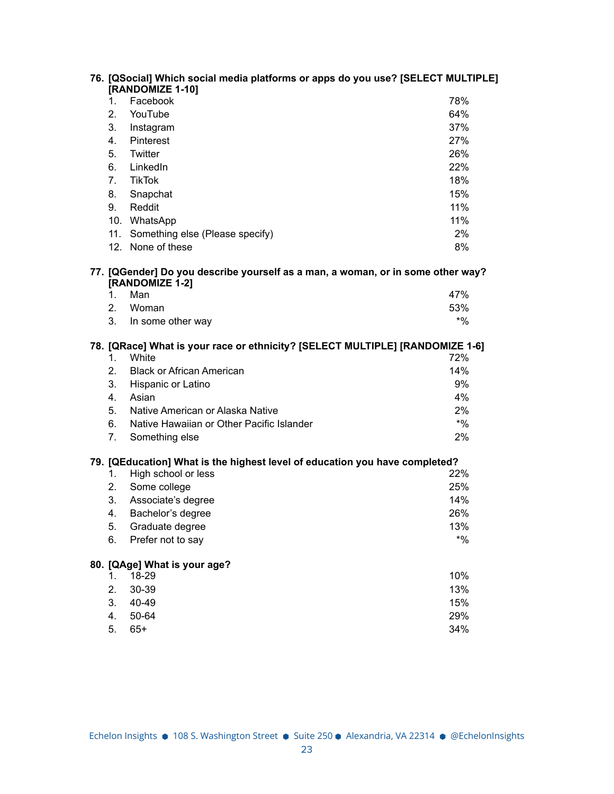|                | 76. [QSocial] Which social media platforms or apps do you use? [SELECT MULTIPLE]<br>[RANDOMIZE 1-10] |        |
|----------------|------------------------------------------------------------------------------------------------------|--------|
| 1.             | Facebook                                                                                             | 78%    |
| 2.             | YouTube                                                                                              | 64%    |
| 3.             | Instagram                                                                                            | 37%    |
| 4.             | Pinterest                                                                                            | 27%    |
| 5.             | Twitter                                                                                              | 26%    |
| 6.             | LinkedIn                                                                                             | 22%    |
| 7 <sub>1</sub> | <b>TikTok</b>                                                                                        | 18%    |
| 8.             | Snapchat                                                                                             | 15%    |
| 9.             | Reddit                                                                                               | 11%    |
|                | 10. WhatsApp                                                                                         | 11%    |
|                | 11. Something else (Please specify)                                                                  | 2%     |
|                | 12. None of these                                                                                    | 8%     |
|                | 77. [QGender] Do you describe yourself as a man, a woman, or in some other way?<br>[RANDOMIZE 1-2]   |        |
| 1.             | Man                                                                                                  | 47%    |
| 2.             | Woman                                                                                                | 53%    |
| 3.             | In some other way                                                                                    | $*9/6$ |
| 1.             | 78. [QRace] What is your race or ethnicity? [SELECT MULTIPLE] [RANDOMIZE 1-6]<br>White               | 72%    |
| 2.             | <b>Black or African American</b>                                                                     | 14%    |
| 3.             | Hispanic or Latino                                                                                   | 9%     |
| 4.             | Asian                                                                                                | 4%     |
| 5.             | Native American or Alaska Native                                                                     | 2%     |
| 6.             | Native Hawaiian or Other Pacific Islander                                                            | $*9/0$ |
| 7.             | Something else                                                                                       | 2%     |
|                | 79. [QEducation] What is the highest level of education you have completed?                          |        |
| 1.             | High school or less                                                                                  | 22%    |
| 2.             | Some college                                                                                         | 25%    |
| 3.             | Associate's degree                                                                                   | 14%    |
| 4.             | Bachelor's degree                                                                                    | 26%    |
| 5.             | Graduate degree                                                                                      | 13%    |
| 6.             | Prefer not to say                                                                                    | $*9/0$ |
|                | 80. [QAge] What is your age?                                                                         |        |
| 1.             | 18-29                                                                                                | 10%    |
| 2.             | 30-39                                                                                                | 13%    |
| 3.             | 40-49                                                                                                | 15%    |
| 4.             | 50-64                                                                                                | 29%    |
| 5.             | $65+$                                                                                                | 34%    |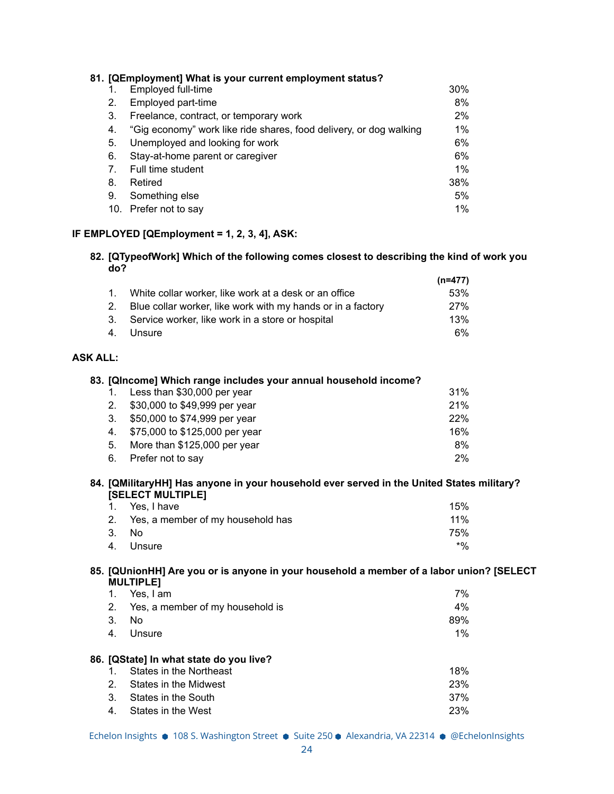|     | 81. [QEmployment] What is your current employment status?          |       |
|-----|--------------------------------------------------------------------|-------|
|     | Employed full-time                                                 | 30%   |
| 2.  | Employed part-time                                                 | 8%    |
| 3.  | Freelance, contract, or temporary work                             | 2%    |
| 4.  | "Gig economy" work like ride shares, food delivery, or dog walking | $1\%$ |
| 5.  | Unemployed and looking for work                                    | 6%    |
| 6.  | Stay-at-home parent or caregiver                                   | 6%    |
| 7.  | Full time student                                                  | $1\%$ |
| 8.  | Retired                                                            | 38%   |
| 9.  | Something else                                                     | 5%    |
| 10. | Prefer not to say                                                  | $1\%$ |

# **IF EMPLOYED [QEmployment = 1, 2, 3, 4], ASK:**

### **82. [QTypeofWork] Which of the following comes closest to describing the kind of work you do?**

|                                                                | (n=477)    |
|----------------------------------------------------------------|------------|
| 1. White collar worker, like work at a desk or an office       | .53%       |
| 2. Blue collar worker, like work with my hands or in a factory | <b>27%</b> |
| 3. Service worker, like work in a store or hospital            | 13%        |
| 4. Unsure                                                      | 6%         |

# **ASK ALL:**

|                | 83. [QIncome] Which range includes your annual household income?                                                      |             |
|----------------|-----------------------------------------------------------------------------------------------------------------------|-------------|
|                | Less than \$30,000 per year                                                                                           | 31%         |
| 2 <sub>1</sub> | \$30,000 to \$49,999 per year                                                                                         | 21%         |
| 3.             | \$50,000 to \$74,999 per year                                                                                         | 22%         |
| 4.             | \$75,000 to \$125,000 per year                                                                                        | 16%         |
| 5.             | More than \$125,000 per year                                                                                          | 8%          |
| 6.             | Prefer not to say                                                                                                     | 2%          |
|                |                                                                                                                       |             |
|                | 84. [QMilitaryHH] Has anyone in your household ever served in the United States military?<br><b>[SELECT MULTIPLE]</b> |             |
|                | Yes, I have                                                                                                           | 15%         |
| 2 <sub>1</sub> | Yes, a member of my household has                                                                                     | 11%         |
| 3.             | No.                                                                                                                   | 75%         |
| 4.             | Unsure                                                                                                                | $^{\ast}$ % |

# **85. [QUnionHH] Are you or is anyone in your household a member of a labor union? [SELECT MULTIPLE]**

|                            | Yes. I am                                                                                                                                | 7%                       |
|----------------------------|------------------------------------------------------------------------------------------------------------------------------------------|--------------------------|
| 2.                         | Yes, a member of my household is                                                                                                         | 4%                       |
| З.                         | No                                                                                                                                       | 89%                      |
| 4.                         | Unsure                                                                                                                                   | 1%                       |
| 2 <sub>1</sub><br>3.<br>4. | 86. [QState] In what state do you live?<br>States in the Northeast<br>States in the Midwest<br>States in the South<br>States in the West | 18%<br>23%<br>37%<br>23% |

Echelon Insights ● 108 S. Washington Street ● Suite 250 ● Alexandria, VA 22314 ● @EchelonInsights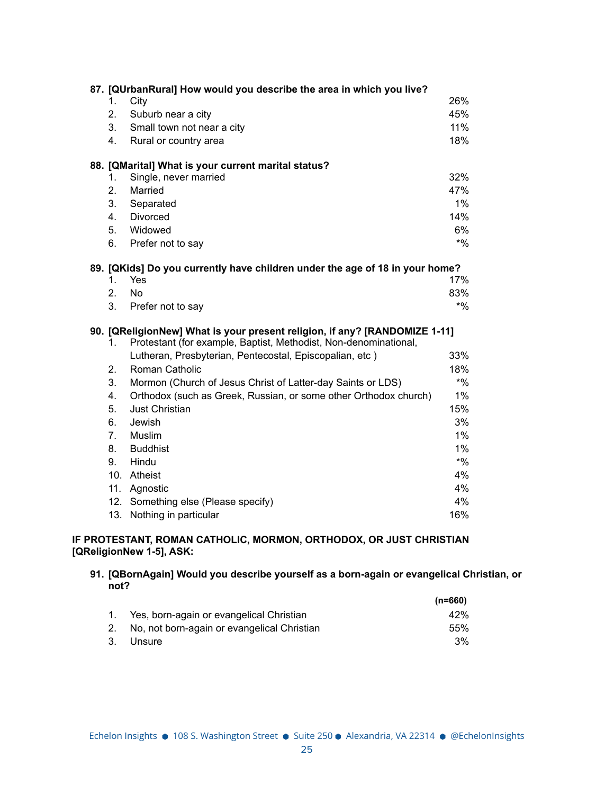|                                | 87. [QUrbanRural] How would you describe the area in which you live?         |        |
|--------------------------------|------------------------------------------------------------------------------|--------|
| 1.                             | City                                                                         | 26%    |
| 2.                             | Suburb near a city                                                           | 45%    |
| 3.                             | Small town not near a city                                                   | 11%    |
| 4.                             | Rural or country area                                                        | 18%    |
|                                |                                                                              |        |
|                                | 88. [QMarital] What is your current marital status?                          |        |
| $1_{-}$                        | Single, never married                                                        | 32%    |
| 2.                             | Married                                                                      | 47%    |
| 3.                             | Separated                                                                    | 1%     |
| 4.                             | Divorced                                                                     | 14%    |
| 5.                             | Widowed                                                                      | 6%     |
| 6.                             | Prefer not to say                                                            | $*9/0$ |
|                                | 89. [QKids] Do you currently have children under the age of 18 in your home? |        |
| $1_{-}$                        | Yes                                                                          | 17%    |
| 2.                             | <b>No</b>                                                                    | 83%    |
| 3.                             | Prefer not to say                                                            | $*9/0$ |
|                                | 90. [QReligionNew] What is your present religion, if any? [RANDOMIZE 1-11]   |        |
| 1.                             | Protestant (for example, Baptist, Methodist, Non-denominational,             |        |
|                                | Lutheran, Presbyterian, Pentecostal, Episcopalian, etc)                      | 33%    |
| 2.                             | <b>Roman Catholic</b>                                                        | 18%    |
| 3.                             | Mormon (Church of Jesus Christ of Latter-day Saints or LDS)                  | $*9/0$ |
| 4.                             | Orthodox (such as Greek, Russian, or some other Orthodox church)             | $1\%$  |
| 5.                             | <b>Just Christian</b>                                                        | 15%    |
| 6.                             | Jewish                                                                       | 3%     |
| $7_{\scriptscriptstyle{\sim}}$ | Muslim                                                                       | $1\%$  |
| 8.                             | <b>Buddhist</b>                                                              | 1%     |
| 9.                             | Hindu                                                                        | $*9/6$ |
|                                | 10. Atheist                                                                  |        |
|                                |                                                                              | 4%     |
|                                | 11. Agnostic                                                                 | 4%     |
| 12.                            | Something else (Please specify)                                              | 4%     |
| 13.                            | Nothing in particular                                                        | 16%    |

# **IF PROTESTANT, ROMAN CATHOLIC, MORMON, ORTHODOX, OR JUST CHRISTIAN [QReligionNew 1-5], ASK:**

# **91. [QBornAgain] Would you describe yourself as a born-again or evangelical Christian, or not?**

|                                                | $(n=660)$ |
|------------------------------------------------|-----------|
| 1. Yes, born-again or evangelical Christian    | 42%       |
| 2. No, not born-again or evangelical Christian | 55%       |
| 3. Unsure                                      | $3\%$     |